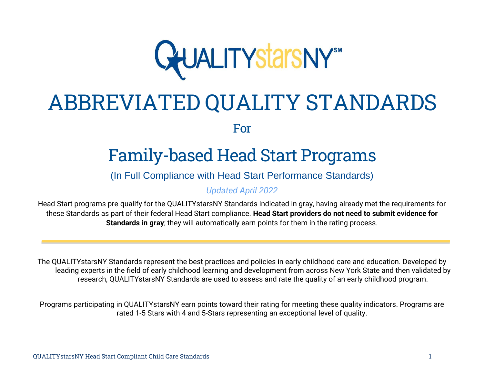

# ABBREVIATED QUALITY STANDARDS

For

# Family-based Head Start Programs

(In Full Compliance with Head Start Performance Standards)

*Updated April 2022*

Head Start programs pre-qualify for the QUALITYstarsNY Standards indicated in gray, having already met the requirements for these Standards as part of their federal Head Start compliance. **Head Start providers do not need to submit evidence for Standards in gray**; they will automatically earn points for them in the rating process.

The QUALITYstarsNY Standards represent the best practices and policies in early childhood care and education. Developed by leading experts in the field of early childhood learning and development from across New York State and then validated by research, QUALITYstarsNY Standards are used to assess and rate the quality of an early childhood program.

Programs participating in QUALITYstarsNY earn points toward their rating for meeting these quality indicators. Programs are rated 1-5 Stars with 4 and 5-Stars representing an exceptional level of quality.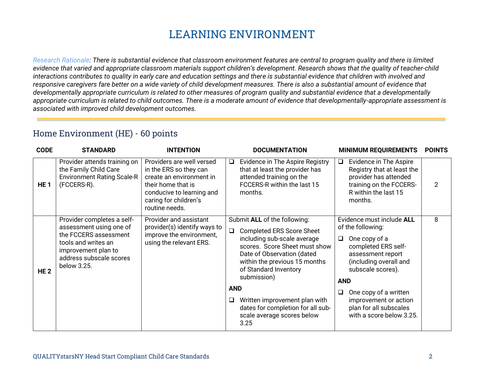# **LEARNING ENVIRONMENT**

*Research Rationale: There is substantial evidence that classroom environment features are central to program quality and there is limited*  evidence that varied and appropriate classroom materials support children's development. Research shows that the quality of teacher-child *interactions contributes to quality in early care and education settings and there is substantial evidence that children with involved and responsive caregivers fare better on a wide variety of child development measures. There is also a substantial amount of evidence that developmentally appropriate curriculum is related to other measures of program quality and substantial evidence that a developmentally appropriate curriculum is related to child outcomes. There is a moderate amount of evidence that developmentally-appropriate assessment is associated with improved child development outcomes.*

#### Home Environment (HE) - 60 points

| <b>CODE</b>     | <b>STANDARD</b>                                                                                                                                                        | <b>INTENTION</b>                                                                                                                                                              | <b>DOCUMENTATION</b><br><b>MINIMUM REQUIREMENTS</b>                                                                                                                                                                                                                                                                                                                                                                                                                                                                                                                                                                                                                       | <b>POINTS</b> |
|-----------------|------------------------------------------------------------------------------------------------------------------------------------------------------------------------|-------------------------------------------------------------------------------------------------------------------------------------------------------------------------------|---------------------------------------------------------------------------------------------------------------------------------------------------------------------------------------------------------------------------------------------------------------------------------------------------------------------------------------------------------------------------------------------------------------------------------------------------------------------------------------------------------------------------------------------------------------------------------------------------------------------------------------------------------------------------|---------------|
| HE <sub>1</sub> | Provider attends training on<br>the Family Child Care<br><b>Environment Rating Scale-R</b><br>(FCCERS-R).                                                              | Providers are well versed<br>in the ERS so they can<br>create an environment in<br>their home that is<br>conducive to learning and<br>caring for children's<br>routine needs. | Evidence in The Aspire Registry<br>Evidence in The Aspire<br>$\Box$<br>⊔<br>that at least the provider has<br>Registry that at least the<br>attended training on the<br>provider has attended<br>FCCERS-R within the last 15<br>training on the FCCERS-<br>R within the last 15<br>months.<br>months.                                                                                                                                                                                                                                                                                                                                                                     | 2             |
| <b>HE2</b>      | Provider completes a self-<br>assessment using one of<br>the FCCERS assessment<br>tools and writes an<br>improvement plan to<br>address subscale scores<br>below 3.25. | Provider and assistant<br>provider(s) identify ways to<br>improve the environment,<br>using the relevant ERS.                                                                 | Submit ALL of the following:<br>Evidence must include ALL<br>of the following:<br><b>Completed ERS Score Sheet</b><br>including sub-scale average<br>One copy of a<br>$\Box$<br>scores. Score Sheet must show<br>completed ERS self-<br>Date of Observation (dated<br>assessment report<br>within the previous 15 months<br>(including overall and<br>of Standard Inventory<br>subscale scores).<br>submission)<br><b>AND</b><br><b>AND</b><br>One copy of a written<br>❏<br>Written improvement plan with<br>improvement or action<br>⊔<br>dates for completion for all sub-<br>plan for all subscales<br>with a score below 3.25.<br>scale average scores below<br>3.25 | 8             |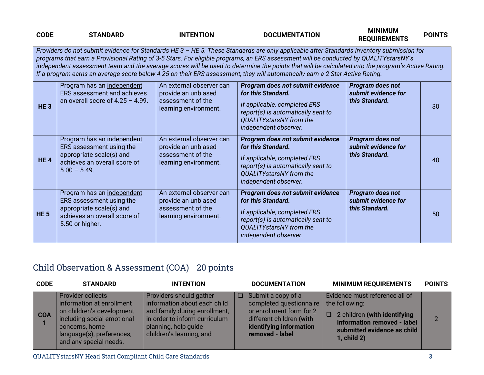| <b>CODE</b>     | <b>STANDARD</b>                                                                                                                                                                                                                                                                                                                                                                                                                                                                                                                                                       | <b>INTENTION</b>                                                                              | <b>DOCUMENTATION</b>                                                                                                                                                                    | <b>MINIMUM</b><br><b>REQUIREMENTS</b>                     | <b>POINTS</b> |  |  |
|-----------------|-----------------------------------------------------------------------------------------------------------------------------------------------------------------------------------------------------------------------------------------------------------------------------------------------------------------------------------------------------------------------------------------------------------------------------------------------------------------------------------------------------------------------------------------------------------------------|-----------------------------------------------------------------------------------------------|-----------------------------------------------------------------------------------------------------------------------------------------------------------------------------------------|-----------------------------------------------------------|---------------|--|--|
|                 | Providers do not submit evidence for Standards HE 3 - HE 5. These Standards are only applicable after Standards Inventory submission for<br>programs that earn a Provisional Rating of 3-5 Stars. For eligible programs, an ERS assessment will be conducted by QUALITYstarsNY's<br>independent assessment team and the average scores will be used to determine the points that will be calculated into the program's Active Rating.<br>If a program earns an average score below 4.25 on their ERS assessment, they will automatically earn a 2 Star Active Rating. |                                                                                               |                                                                                                                                                                                         |                                                           |               |  |  |
| HE <sub>3</sub> | Program has an independent<br>ERS assessment and achieves<br>an overall score of $4.25 - 4.99$ .                                                                                                                                                                                                                                                                                                                                                                                                                                                                      | An external observer can<br>provide an unbiased<br>assessment of the<br>learning environment. | Program does not submit evidence<br>for this Standard.<br>If applicable, completed ERS<br>report(s) is automatically sent to<br>QUALITYstarsNY from the<br>independent observer.        | Program does not<br>submit evidence for<br>this Standard. | 30            |  |  |
| <b>HE4</b>      | Program has an independent<br>ERS assessment using the<br>appropriate scale(s) and<br>achieves an overall score of<br>$5.00 - 5.49$ .                                                                                                                                                                                                                                                                                                                                                                                                                                 | An external observer can<br>provide an unbiased<br>assessment of the<br>learning environment. | Program does not submit evidence<br>for this Standard.<br>If applicable, completed ERS<br>report(s) is automatically sent to<br><b>QUALITYstarsNY</b> from the<br>independent observer. | Program does not<br>submit evidence for<br>this Standard. | 40            |  |  |
| <b>HE 5</b>     | Program has an independent<br>ERS assessment using the<br>appropriate scale(s) and<br>achieves an overall score of<br>5.50 or higher.                                                                                                                                                                                                                                                                                                                                                                                                                                 | An external observer can<br>provide an unbiased<br>assessment of the<br>learning environment. | Program does not submit evidence<br>for this Standard.<br>If applicable, completed ERS<br>report(s) is automatically sent to<br><b>QUALITYstarsNY</b> from the<br>independent observer. | Program does not<br>submit evidence for<br>this Standard. | 50            |  |  |

# Child Observation & Assessment (COA) - 20 points

| <b>CODE</b> | <b>STANDARD</b>                                                                                                                                                                           | <b>INTENTION</b>                                                                                                                                                              | <b>DOCUMENTATION</b>                                                                                                                                      | <b>MINIMUM REQUIREMENTS</b>                                                                                                                                        | <b>POINTS</b> |
|-------------|-------------------------------------------------------------------------------------------------------------------------------------------------------------------------------------------|-------------------------------------------------------------------------------------------------------------------------------------------------------------------------------|-----------------------------------------------------------------------------------------------------------------------------------------------------------|--------------------------------------------------------------------------------------------------------------------------------------------------------------------|---------------|
| <b>COA</b>  | <b>Provider collects</b><br>information at enrollment<br>on children's development<br>including social emotional<br>concerns, home<br>language(s), preferences,<br>and any special needs. | Providers should gather<br>information about each child<br>and family during enrollment,<br>in order to inform curriculum<br>planning, help guide<br>children's learning, and | Submit a copy of a<br>◘.<br>completed questionnaire<br>or enrollment form for 2<br>different children (with<br>identifying information<br>removed - label | Evidence must reference all of<br>the following:<br>2 children (with identifying<br>O<br>information removed - label<br>submitted evidence as child<br>1, child 2) | $\mathcal{P}$ |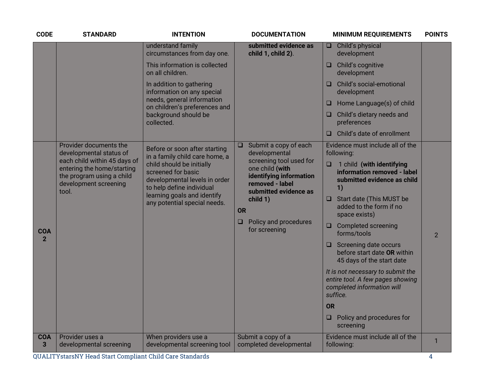| <b>CODE</b>                  | <b>STANDARD</b>                                                                                                                                                                | <b>INTENTION</b>                                                                                                                                                                                                                                | <b>DOCUMENTATION</b>                                                                                                                                                                                                                               | <b>MINIMUM REQUIREMENTS</b>                                                                                                                                                | <b>POINTS</b>  |
|------------------------------|--------------------------------------------------------------------------------------------------------------------------------------------------------------------------------|-------------------------------------------------------------------------------------------------------------------------------------------------------------------------------------------------------------------------------------------------|----------------------------------------------------------------------------------------------------------------------------------------------------------------------------------------------------------------------------------------------------|----------------------------------------------------------------------------------------------------------------------------------------------------------------------------|----------------|
|                              |                                                                                                                                                                                | understand family<br>circumstances from day one.<br>This information is collected<br>on all children.                                                                                                                                           | submitted evidence as<br>child 1, child 2).                                                                                                                                                                                                        | Child's physical<br>$\Box$<br>development<br>Child's cognitive<br>$\Box$<br>development<br>Child's social-emotional                                                        |                |
|                              |                                                                                                                                                                                | In addition to gathering<br>information on any special<br>needs, general information                                                                                                                                                            |                                                                                                                                                                                                                                                    | development<br>Home Language(s) of child<br>⊔                                                                                                                              |                |
|                              |                                                                                                                                                                                | on children's preferences and<br>background should be<br>collected.                                                                                                                                                                             |                                                                                                                                                                                                                                                    | Child's dietary needs and<br>□<br>preferences                                                                                                                              |                |
|                              |                                                                                                                                                                                |                                                                                                                                                                                                                                                 |                                                                                                                                                                                                                                                    | Child's date of enrollment<br>□                                                                                                                                            |                |
|                              | Provider documents the<br>developmental status of<br>each child within 45 days of<br>entering the home/starting<br>the program using a child<br>development screening<br>tool. | Before or soon after starting<br>in a family child care home, a<br>child should be initially<br>screened for basic<br>developmental levels in order<br>to help define individual<br>learning goals and identify<br>any potential special needs. | Submit a copy of each<br>$\Box$<br>developmental<br>screening tool used for<br>one child (with<br>identifying information<br>removed - label<br>submitted evidence as<br>child 1)<br><b>OR</b><br>Policy and procedures<br>$\Box$<br>for screening | Evidence must include all of the<br>following:                                                                                                                             |                |
|                              |                                                                                                                                                                                |                                                                                                                                                                                                                                                 |                                                                                                                                                                                                                                                    | 1 child (with identifying<br>$\Box$<br>information removed - label<br>submitted evidence as child<br>1)<br><b>Start date (This MUST be</b><br>O<br>added to the form if no |                |
|                              |                                                                                                                                                                                |                                                                                                                                                                                                                                                 |                                                                                                                                                                                                                                                    | space exists)<br><b>Completed screening</b><br>$\Box$                                                                                                                      |                |
| <b>COA</b><br>$\overline{2}$ |                                                                                                                                                                                |                                                                                                                                                                                                                                                 |                                                                                                                                                                                                                                                    | forms/tools                                                                                                                                                                | $\overline{2}$ |
|                              |                                                                                                                                                                                |                                                                                                                                                                                                                                                 |                                                                                                                                                                                                                                                    | Screening date occurs<br>$\Box$<br>before start date OR within<br>45 days of the start date                                                                                |                |
|                              |                                                                                                                                                                                |                                                                                                                                                                                                                                                 |                                                                                                                                                                                                                                                    | It is not necessary to submit the<br>entire tool. A few pages showing<br>completed information will<br>suffice.                                                            |                |
|                              |                                                                                                                                                                                |                                                                                                                                                                                                                                                 |                                                                                                                                                                                                                                                    | <b>OR</b>                                                                                                                                                                  |                |
|                              |                                                                                                                                                                                |                                                                                                                                                                                                                                                 |                                                                                                                                                                                                                                                    | Policy and procedures for<br>$\Box$<br>screening                                                                                                                           |                |
| <b>COA</b><br>3              | Provider uses a<br>developmental screening                                                                                                                                     | When providers use a<br>developmental screening tool                                                                                                                                                                                            | Submit a copy of a<br>completed developmental                                                                                                                                                                                                      | Evidence must include all of the<br>following:                                                                                                                             | 1              |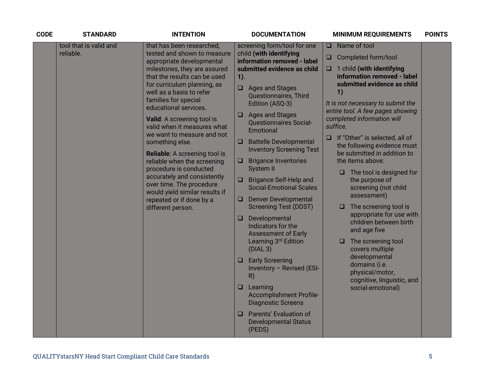| <b>CODE</b> | <b>STANDARD</b>                             | <b>INTENTION</b>                                                                                                      | <b>DOCUMENTATION</b>                                                           | <b>MINIMUM REQUIREMENTS</b>                                                                                                                       | <b>POINTS</b> |
|-------------|---------------------------------------------|-----------------------------------------------------------------------------------------------------------------------|--------------------------------------------------------------------------------|---------------------------------------------------------------------------------------------------------------------------------------------------|---------------|
|             | tool that is valid and                      | that has been researched,                                                                                             | screening form/tool for one                                                    | Name of tool<br>u.                                                                                                                                |               |
|             | reliable.                                   | tested and shown to measure<br>appropriate developmental                                                              | child (with identifying<br>information removed - label                         | Completed form/tool<br>u                                                                                                                          |               |
|             |                                             | milestones, they are assured<br>that the results can be used                                                          | submitted evidence as child<br>$1$ ).                                          | 1 child (with identifying<br>$\Box$<br>information removed - label                                                                                |               |
|             |                                             | for curriculum planning, as<br>well as a basis to refer<br>families for special                                       | $\Box$ Ages and Stages<br><b>Questionnaires, Third</b><br>Edition (ASQ-3)      | submitted evidence as child<br>1)<br>It is not necessary to submit the                                                                            |               |
|             |                                             | educational services.                                                                                                 | $\Box$ Ages and Stages                                                         | entire tool. A few pages showing                                                                                                                  |               |
|             |                                             | Valid: A screening tool is<br>valid when it measures what<br>we want to measure and not                               | <b>Questionnaires Social-</b><br>Emotional                                     | completed information will<br>suffice.                                                                                                            |               |
|             |                                             | something else.                                                                                                       | Battelle Developmental<br><b>Inventory Screening Test</b>                      | If "Other" is selected, all of<br>$\Box$<br>the following evidence must<br>be submitted in addition to                                            |               |
|             | procedure is conducted<br>different person. | <b>Reliable:</b> A screening tool is<br>reliable when the screening                                                   | <b>Brigance Inventories</b><br>O                                               | the items above:<br>$\Box$ The tool is designed for<br>the purpose of<br>screening (not child<br>assessment)<br>The screening tool is<br><b>u</b> |               |
|             |                                             | accurately and consistently<br>over time. The procedure<br>would yield similar results if<br>repeated or if done by a | System II                                                                      |                                                                                                                                                   |               |
|             |                                             |                                                                                                                       | □ Brigance Self-Help and<br><b>Social-Emotional Scales</b>                     |                                                                                                                                                   |               |
|             |                                             |                                                                                                                       | <b>Denver Developmental</b><br>$\Box$<br><b>Screening Test (DDST)</b>          |                                                                                                                                                   |               |
|             |                                             |                                                                                                                       | Developmental<br>$\Box$<br>Indicators for the<br><b>Assessment of Early</b>    | appropriate for use with<br>children between birth<br>and age five                                                                                |               |
|             |                                             |                                                                                                                       | Learning 3rd Edition<br>(DIAL 3)                                               | The screening tool<br>u.<br>covers multiple                                                                                                       |               |
|             |                                             |                                                                                                                       | $\Box$ Early Screening<br>Inventory - Revised (ESI-<br>R)                      | developmental<br>domains (i.e.<br>physical/motor,<br>cognitive, linguistic, and<br>social-emotional)                                              |               |
|             |                                             |                                                                                                                       | $\Box$ Learning<br><b>Accomplishment Profile-</b><br><b>Diagnostic Screens</b> |                                                                                                                                                   |               |
|             |                                             |                                                                                                                       | Parents' Evaluation of<br>□<br><b>Developmental Status</b><br>(PEDS)           |                                                                                                                                                   |               |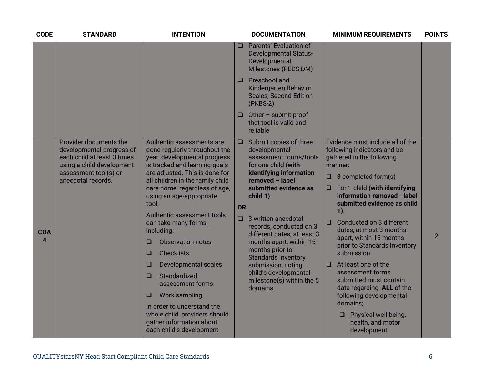| <b>CODE</b>     | <b>STANDARD</b>                                                                                                                                                | <b>INTENTION</b>                                                                                                                                                                                                                                                                                                                                                                                                                                                                                                                                                                                                                           | <b>DOCUMENTATION</b>                                                                                                                                                                                                                                                                                                                                                                                                                                      | <b>MINIMUM REQUIREMENTS</b>                                                                                                                                                                                                                                                                                                                                                                                                                                                                                                                                                                                           | <b>POINTS</b>  |
|-----------------|----------------------------------------------------------------------------------------------------------------------------------------------------------------|--------------------------------------------------------------------------------------------------------------------------------------------------------------------------------------------------------------------------------------------------------------------------------------------------------------------------------------------------------------------------------------------------------------------------------------------------------------------------------------------------------------------------------------------------------------------------------------------------------------------------------------------|-----------------------------------------------------------------------------------------------------------------------------------------------------------------------------------------------------------------------------------------------------------------------------------------------------------------------------------------------------------------------------------------------------------------------------------------------------------|-----------------------------------------------------------------------------------------------------------------------------------------------------------------------------------------------------------------------------------------------------------------------------------------------------------------------------------------------------------------------------------------------------------------------------------------------------------------------------------------------------------------------------------------------------------------------------------------------------------------------|----------------|
|                 |                                                                                                                                                                |                                                                                                                                                                                                                                                                                                                                                                                                                                                                                                                                                                                                                                            | Parents' Evaluation of<br>$\Box$<br><b>Developmental Status-</b><br>Developmental<br>Milestones (PEDS:DM)                                                                                                                                                                                                                                                                                                                                                 |                                                                                                                                                                                                                                                                                                                                                                                                                                                                                                                                                                                                                       |                |
|                 |                                                                                                                                                                |                                                                                                                                                                                                                                                                                                                                                                                                                                                                                                                                                                                                                                            | Preschool and<br>□<br>Kindergarten Behavior<br><b>Scales, Second Edition</b><br>$(PKBS-2)$                                                                                                                                                                                                                                                                                                                                                                |                                                                                                                                                                                                                                                                                                                                                                                                                                                                                                                                                                                                                       |                |
|                 |                                                                                                                                                                |                                                                                                                                                                                                                                                                                                                                                                                                                                                                                                                                                                                                                                            | Other - submit proof<br>O.<br>that tool is valid and<br>reliable                                                                                                                                                                                                                                                                                                                                                                                          |                                                                                                                                                                                                                                                                                                                                                                                                                                                                                                                                                                                                                       |                |
| <b>COA</b><br>4 | Provider documents the<br>developmental progress of<br>each child at least 3 times<br>using a child development<br>assessment tool(s) or<br>anecdotal records. | Authentic assessments are<br>done regularly throughout the<br>year, developmental progress<br>is tracked and learning goals<br>are adjusted. This is done for<br>all children in the family child<br>care home, regardless of age,<br>using an age-appropriate<br>tool.<br>Authentic assessment tools<br>can take many forms,<br>including:<br><b>Observation notes</b><br>□<br><b>Checklists</b><br>□<br>$\Box$<br>Developmental scales<br>Standardized<br>□<br>assessment forms<br><b>Work sampling</b><br>$\Box$<br>In order to understand the<br>whole child, providers should<br>gather information about<br>each child's development | Submit copies of three<br>$\Box$<br>developmental<br>assessment forms/tools<br>for one child (with<br>identifying information<br>removed - label<br>submitted evidence as<br>child 1)<br>OR<br>3 written anecdotal<br>$\Box$<br>records, conducted on 3<br>different dates, at least 3<br>months apart, within 15<br>months prior to<br><b>Standards Inventory</b><br>submission, noting<br>child's developmental<br>milestone(s) within the 5<br>domains | Evidence must include all of the<br>following indicators and be<br>gathered in the following<br>manner:<br>$\Box$ 3 completed form(s)<br>$\Box$ For 1 child (with identifying<br>information removed - label<br>submitted evidence as child<br>$1$ ).<br>Conducted on 3 different<br>$\Box$<br>dates, at most 3 months<br>apart, within 15 months<br>prior to Standards Inventory<br>submission.<br>At least one of the<br>$\Box$<br>assessment forms<br>submitted must contain<br>data regarding ALL of the<br>following developmental<br>domains;<br>Physical well-being,<br>O.<br>health, and motor<br>development | $\overline{2}$ |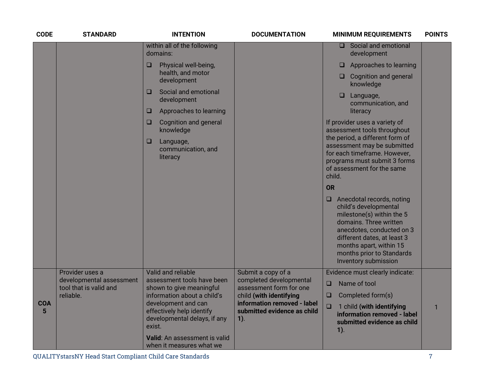| <b>CODE</b>                  | <b>STANDARD</b>                             | <b>INTENTION</b>                                                                                                          | <b>DOCUMENTATION</b>                               | <b>MINIMUM REQUIREMENTS</b>                                                                                                                                                                                                                                  | <b>POINTS</b> |
|------------------------------|---------------------------------------------|---------------------------------------------------------------------------------------------------------------------------|----------------------------------------------------|--------------------------------------------------------------------------------------------------------------------------------------------------------------------------------------------------------------------------------------------------------------|---------------|
|                              |                                             | within all of the following<br>domains:                                                                                   |                                                    | Social and emotional<br>ο.<br>development                                                                                                                                                                                                                    |               |
|                              |                                             | $\Box$<br>Physical well-being,                                                                                            |                                                    | Approaches to learning<br>□                                                                                                                                                                                                                                  |               |
|                              |                                             | health, and motor<br>development                                                                                          |                                                    | <b>Cognition and general</b><br>□.<br>knowledge                                                                                                                                                                                                              |               |
|                              |                                             | Social and emotional<br>□<br>development                                                                                  |                                                    | ❏<br>Language,<br>communication, and                                                                                                                                                                                                                         |               |
|                              |                                             | Approaches to learning<br>$\Box$                                                                                          |                                                    | literacy                                                                                                                                                                                                                                                     |               |
|                              |                                             | <b>Cognition and general</b><br>$\Box$<br>knowledge                                                                       |                                                    | If provider uses a variety of<br>assessment tools throughout                                                                                                                                                                                                 |               |
|                              |                                             | Language,<br>$\Box$<br>communication, and<br>literacy                                                                     |                                                    | the period, a different form of<br>assessment may be submitted<br>for each timeframe. However,<br>programs must submit 3 forms<br>of assessment for the same<br>child.                                                                                       |               |
|                              |                                             |                                                                                                                           |                                                    | <b>OR</b>                                                                                                                                                                                                                                                    |               |
|                              |                                             |                                                                                                                           |                                                    | $\Box$ Anecdotal records, noting<br>child's developmental<br>milestone(s) within the 5<br>domains. Three written<br>anecdotes, conducted on 3<br>different dates, at least 3<br>months apart, within 15<br>months prior to Standards<br>Inventory submission |               |
|                              | Provider uses a<br>developmental assessment | Valid and reliable<br>assessment tools have been                                                                          | Submit a copy of a<br>completed developmental      | Evidence must clearly indicate:                                                                                                                                                                                                                              |               |
|                              | tool that is valid and<br>reliable.         | shown to give meaningful                                                                                                  | assessment form for one<br>child (with identifying | Name of tool<br>$\Box$<br>$\Box$                                                                                                                                                                                                                             |               |
| <b>COA</b><br>$5\phantom{1}$ |                                             | information about a child's<br>development and can<br>effectively help identify<br>developmental delays, if any<br>exist. |                                                    | Completed form(s)<br>$\Box$<br>1 child (with identifying<br>information removed - label<br>submitted evidence as child<br>$1$ ).                                                                                                                             | $\mathbf{1}$  |
|                              |                                             | Valid: An assessment is valid<br>when it measures what we                                                                 |                                                    |                                                                                                                                                                                                                                                              |               |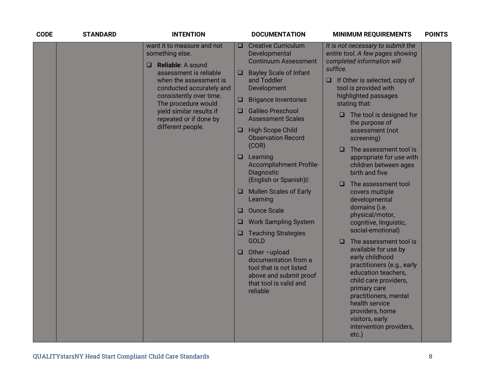| want it to measure and not<br><b>Creative Curriculum</b><br>It is not necessary to submit the<br>O<br>something else.<br>Developmental<br>entire tool. A few pages showing<br>completed information will<br><b>Continuum Assessment</b><br>Reliable: A sound<br>$\Box$<br>suffice.<br>assessment is reliable<br><b>Bayley Scale of Infant</b><br>$\Box$<br>and Toddler<br>$\Box$ If Other is selected, copy of<br>when the assessment is<br>conducted accurately and<br>Development<br>tool is provided with<br>highlighted passages<br>consistently over time.<br><b>Brigance Inventories</b><br>$\Box$<br>The procedure would<br>stating that:<br><b>Galileo Preschool</b><br>yield similar results if<br>$\Box$<br>The tool is designed for<br>$\Box$<br>repeated or if done by<br><b>Assessment Scales</b><br>the purpose of<br>different people.<br><b>High Scope Child</b><br>O<br>assessment (not<br><b>Observation Record</b><br>screening)<br>(COR)<br>The assessment tool is<br>$\Box$<br>Learning<br>$\Box$<br>appropriate for use with<br><b>Accomplishment Profile-</b><br>children between ages<br>Diagnostic<br>birth and five<br>(English or Spanish)<br>The assessment tool<br>$\Box$<br><b>Mullen Scales of Early</b><br>covers multiple<br>⊔<br>Learning<br>developmental<br>domains (i.e.<br><b>Ounce Scale</b><br>$\Box$<br>physical/motor,<br><b>Work Sampling System</b><br>❏<br>cognitive, linguistic,<br>social-emotional)<br><b>Teaching Strategies</b><br>$\Box$<br><b>GOLD</b><br>The assessment tool is<br>$\Box$<br>available for use by<br>Other-upload<br>$\Box$<br>early childhood<br>documentation from a<br>practitioners (e.g., early<br>tool that is not listed<br>education teachers,<br>above and submit proof<br>child care providers,<br>that tool is valid and<br>primary care<br>reliable<br>practitioners, mental<br>health service<br>providers, home |
|----------------------------------------------------------------------------------------------------------------------------------------------------------------------------------------------------------------------------------------------------------------------------------------------------------------------------------------------------------------------------------------------------------------------------------------------------------------------------------------------------------------------------------------------------------------------------------------------------------------------------------------------------------------------------------------------------------------------------------------------------------------------------------------------------------------------------------------------------------------------------------------------------------------------------------------------------------------------------------------------------------------------------------------------------------------------------------------------------------------------------------------------------------------------------------------------------------------------------------------------------------------------------------------------------------------------------------------------------------------------------------------------------------------------------------------------------------------------------------------------------------------------------------------------------------------------------------------------------------------------------------------------------------------------------------------------------------------------------------------------------------------------------------------------------------------------------------------------------------------------------------------------------|
| visitors, early<br>intervention providers,<br>$etc.$ )                                                                                                                                                                                                                                                                                                                                                                                                                                                                                                                                                                                                                                                                                                                                                                                                                                                                                                                                                                                                                                                                                                                                                                                                                                                                                                                                                                                                                                                                                                                                                                                                                                                                                                                                                                                                                                             |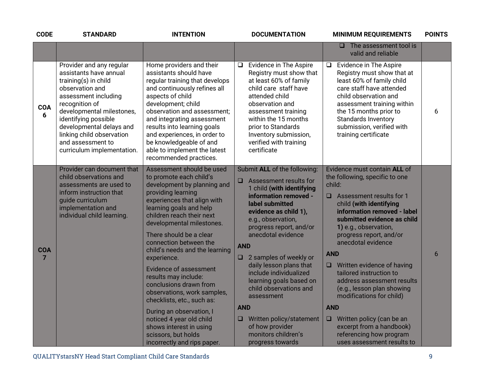| <b>CODE</b>     | <b>STANDARD</b>                                                                                                                                                                                                                                                                                          | <b>INTENTION</b>                                                                                                                                                                                                                                                                                                                                                                                                                                                                                                                                                                                                             | <b>DOCUMENTATION</b>                                                                                                                                                                                                                                                                                                                                                                                                                                                                                                           | <b>MINIMUM REQUIREMENTS</b>                                                                                                                                                                                                                                                                                                                                                                                                                                                                                                                                                                    | <b>POINTS</b> |
|-----------------|----------------------------------------------------------------------------------------------------------------------------------------------------------------------------------------------------------------------------------------------------------------------------------------------------------|------------------------------------------------------------------------------------------------------------------------------------------------------------------------------------------------------------------------------------------------------------------------------------------------------------------------------------------------------------------------------------------------------------------------------------------------------------------------------------------------------------------------------------------------------------------------------------------------------------------------------|--------------------------------------------------------------------------------------------------------------------------------------------------------------------------------------------------------------------------------------------------------------------------------------------------------------------------------------------------------------------------------------------------------------------------------------------------------------------------------------------------------------------------------|------------------------------------------------------------------------------------------------------------------------------------------------------------------------------------------------------------------------------------------------------------------------------------------------------------------------------------------------------------------------------------------------------------------------------------------------------------------------------------------------------------------------------------------------------------------------------------------------|---------------|
|                 |                                                                                                                                                                                                                                                                                                          |                                                                                                                                                                                                                                                                                                                                                                                                                                                                                                                                                                                                                              |                                                                                                                                                                                                                                                                                                                                                                                                                                                                                                                                | The assessment tool is<br><b>□</b><br>valid and reliable                                                                                                                                                                                                                                                                                                                                                                                                                                                                                                                                       |               |
| <b>COA</b><br>6 | Provider and any regular<br>assistants have annual<br>training(s) in child<br>observation and<br>assessment including<br>recognition of<br>developmental milestones,<br>identifying possible<br>developmental delays and<br>linking child observation<br>and assessment to<br>curriculum implementation. | Home providers and their<br>assistants should have<br>regular training that develops<br>and continuously refines all<br>aspects of child<br>development; child<br>observation and assessment;<br>and integrating assessment<br>results into learning goals<br>and experiences, in order to<br>be knowledgeable of and<br>able to implement the latest<br>recommended practices.                                                                                                                                                                                                                                              | $\Box$ Evidence in The Aspire<br>Registry must show that<br>at least 60% of family<br>child care staff have<br>attended child<br>observation and<br>assessment training<br>within the 15 months<br>prior to Standards<br>Inventory submission,<br>verified with training<br>certificate                                                                                                                                                                                                                                        | $\Box$ Evidence in The Aspire<br>Registry must show that at<br>least 60% of family child<br>care staff have attended<br>child observation and<br>assessment training within<br>the 15 months prior to<br>Standards Inventory<br>submission, verified with<br>training certificate                                                                                                                                                                                                                                                                                                              | 6             |
| <b>COA</b><br>7 | Provider can document that<br>child observations and<br>assessments are used to<br>inform instruction that<br>guide curriculum<br>implementation and<br>individual child learning.                                                                                                                       | Assessment should be used<br>to promote each child's<br>development by planning and<br>providing learning<br>experiences that align with<br>learning goals and help<br>children reach their next<br>developmental milestones.<br>There should be a clear<br>connection between the<br>child's needs and the learning<br>experience.<br><b>Evidence of assessment</b><br>results may include:<br>conclusions drawn from<br>observations, work samples,<br>checklists, etc., such as:<br>During an observation, I<br>noticed 4 year old child<br>shows interest in using<br>scissors, but holds<br>incorrectly and rips paper. | Submit ALL of the following:<br>$\Box$ Assessment results for<br>1 child (with identifying<br>information removed -<br>label submitted<br>evidence as child 1),<br>e.g., observation,<br>progress report, and/or<br>anecdotal evidence<br><b>AND</b><br>2 samples of weekly or<br>$\Box$<br>daily lesson plans that<br>include individualized<br>learning goals based on<br>child observations and<br>assessment<br><b>AND</b><br>Written policy/statement<br>⊔.<br>of how provider<br>monitors children's<br>progress towards | Evidence must contain ALL of<br>the following, specific to one<br>child:<br>$\Box$ Assessment results for 1<br>child (with identifying<br>information removed - label<br>submitted evidence as child<br>1) e.g., observation,<br>progress report, and/or<br>anecdotal evidence<br><b>AND</b><br>$\Box$ Written evidence of having<br>tailored instruction to<br>address assessment results<br>(e.g., lesson plan showing<br>modifications for child)<br><b>AND</b><br>Written policy (can be an<br>$\Box$<br>excerpt from a handbook)<br>referencing how program<br>uses assessment results to | 6             |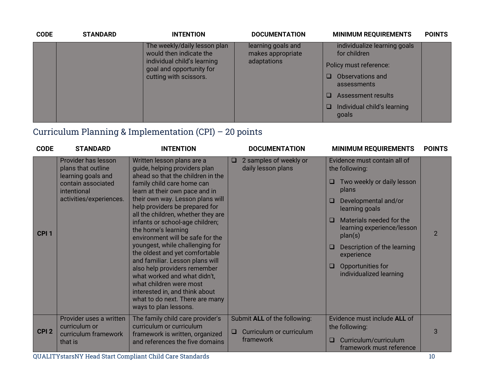| <b>CODE</b> | <b>STANDARD</b>                                                                                                                              | <b>INTENTION</b>                        | <b>DOCUMENTATION</b>                         | <b>MINIMUM REQUIREMENTS</b>          | <b>POINTS</b> |
|-------------|----------------------------------------------------------------------------------------------------------------------------------------------|-----------------------------------------|----------------------------------------------|--------------------------------------|---------------|
|             | The weekly/daily lesson plan<br>would then indicate the<br>individual child's learning<br>goal and opportunity for<br>cutting with scissors. | learning goals and<br>makes appropriate | individualize learning goals<br>for children |                                      |               |
|             |                                                                                                                                              | adaptations                             | Policy must reference:                       |                                      |               |
|             |                                                                                                                                              |                                         |                                              | Observations and<br>assessments      |               |
|             |                                                                                                                                              |                                         |                                              | <b>Assessment results</b>            |               |
|             |                                                                                                                                              |                                         |                                              | Individual child's learning<br>goals |               |

# Curriculum Planning & Implementation (CPI) – 20 points

| <b>CODE</b>      | <b>STANDARD</b>                                                                                                                 | <b>INTENTION</b>                                                                                                                                                                                                                                                                                                                                                                                                                                                                                                                                                                                                                                                            | <b>DOCUMENTATION</b>                                                            | <b>MINIMUM REQUIREMENTS</b>                                                                                                                                                                                                                                                                                           | <b>POINTS</b>  |
|------------------|---------------------------------------------------------------------------------------------------------------------------------|-----------------------------------------------------------------------------------------------------------------------------------------------------------------------------------------------------------------------------------------------------------------------------------------------------------------------------------------------------------------------------------------------------------------------------------------------------------------------------------------------------------------------------------------------------------------------------------------------------------------------------------------------------------------------------|---------------------------------------------------------------------------------|-----------------------------------------------------------------------------------------------------------------------------------------------------------------------------------------------------------------------------------------------------------------------------------------------------------------------|----------------|
| CPI <sub>1</sub> | Provider has lesson<br>plans that outline<br>learning goals and<br>contain associated<br>intentional<br>activities/experiences. | Written lesson plans are a<br>guide, helping providers plan<br>ahead so that the children in the<br>family child care home can<br>learn at their own pace and in<br>their own way. Lesson plans will<br>help providers be prepared for<br>all the children, whether they are<br>infants or school-age children;<br>the home's learning<br>environment will be safe for the<br>youngest, while challenging for<br>the oldest and yet comfortable<br>and familiar. Lesson plans will<br>also help providers remember<br>what worked and what didn't,<br>what children were most<br>interested in, and think about<br>what to do next. There are many<br>ways to plan lessons. | 2 samples of weekly or<br>□<br>daily lesson plans                               | Evidence must contain all of<br>the following:<br>Two weekly or daily lesson<br>⊔<br>plans<br>Developmental and/or<br>⊔<br>learning goals<br>Materials needed for the<br>□<br>learning experience/lesson<br>plan(s)<br>Description of the learning<br>experience<br>Opportunities for<br>□<br>individualized learning | $\overline{2}$ |
| CPI <sub>2</sub> | Provider uses a written<br>curriculum or<br>curriculum framework<br>that is                                                     | The family child care provider's<br>curriculum or curriculum<br>framework is written, organized<br>and references the five domains                                                                                                                                                                                                                                                                                                                                                                                                                                                                                                                                          | Submit ALL of the following:<br>Curriculum or curriculum<br>$\Box$<br>framework | Evidence must include ALL of<br>the following:<br>Curriculum/curriculum<br>□<br>framework must reference                                                                                                                                                                                                              | 3              |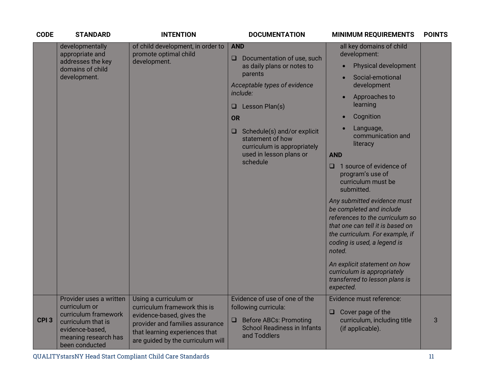| <b>CODE</b>      | <b>STANDARD</b>                                                                                                                                     | <b>INTENTION</b>                                                                                                                                                                             | <b>DOCUMENTATION</b>                                                                                                                                                                                                                                                                                                                                        | <b>MINIMUM REQUIREMENTS</b>                                                                                                                                                                                                                                                                                                                                                                                                                                                                                                                                                                | <b>POINTS</b> |
|------------------|-----------------------------------------------------------------------------------------------------------------------------------------------------|----------------------------------------------------------------------------------------------------------------------------------------------------------------------------------------------|-------------------------------------------------------------------------------------------------------------------------------------------------------------------------------------------------------------------------------------------------------------------------------------------------------------------------------------------------------------|--------------------------------------------------------------------------------------------------------------------------------------------------------------------------------------------------------------------------------------------------------------------------------------------------------------------------------------------------------------------------------------------------------------------------------------------------------------------------------------------------------------------------------------------------------------------------------------------|---------------|
|                  | developmentally<br>appropriate and<br>addresses the key<br>domains of child<br>development.                                                         | of child development, in order to<br>promote optimal child<br>development.                                                                                                                   | <b>AND</b><br>Documentation of use, such<br>□<br>as daily plans or notes to<br>$\bullet$<br>parents<br>Acceptable types of evidence<br>include:<br>Lesson Plan(s)<br>❏<br><b>OR</b><br>Schedule(s) and/or explicit<br>$\Box$<br>statement of how<br>curriculum is appropriately<br>used in lesson plans or<br><b>AND</b><br>schedule<br>noted.<br>expected. | all key domains of child<br>development:<br><b>Physical development</b><br>Social-emotional<br>development<br>Approaches to<br>learning<br>Cognition<br>Language,<br>communication and<br>literacy<br>1 source of evidence of<br>program's use of<br>curriculum must be<br>submitted.<br>Any submitted evidence must<br>be completed and include<br>references to the curriculum so<br>that one can tell it is based on<br>the curriculum. For example, if<br>coding is used, a legend is<br>An explicit statement on how<br>curriculum is appropriately<br>transferred to lesson plans is |               |
| CPI <sub>3</sub> | Provider uses a written<br>curriculum or<br>curriculum framework<br>curriculum that is<br>evidence-based,<br>meaning research has<br>been conducted | Using a curriculum or<br>curriculum framework this is<br>evidence-based, gives the<br>provider and families assurance<br>that learning experiences that<br>are guided by the curriculum will | Evidence of use of one of the<br>following curricula:<br>⊔<br><b>Before ABCs: Promoting</b><br>u<br><b>School Readiness in Infants</b><br>and Toddlers                                                                                                                                                                                                      | Evidence must reference:<br>Cover page of the<br>curriculum, including title<br>(if applicable).                                                                                                                                                                                                                                                                                                                                                                                                                                                                                           | 3             |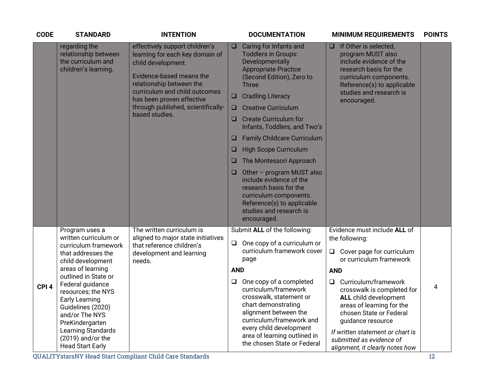| <b>CODE</b>      | <b>STANDARD</b>                                                                                                                                                                                                                                                                                                                                              | <b>INTENTION</b>                                                                                                                                                                                                                                                      |                                      | <b>DOCUMENTATION</b>                                                                                                                                                                                                                                                                                                                                                                                                                                                                                                                                               |                                | <b>MINIMUM REQUIREMENTS</b>                                                                                                                                                                                                                                                                                                                                                  | <b>POINTS</b> |
|------------------|--------------------------------------------------------------------------------------------------------------------------------------------------------------------------------------------------------------------------------------------------------------------------------------------------------------------------------------------------------------|-----------------------------------------------------------------------------------------------------------------------------------------------------------------------------------------------------------------------------------------------------------------------|--------------------------------------|--------------------------------------------------------------------------------------------------------------------------------------------------------------------------------------------------------------------------------------------------------------------------------------------------------------------------------------------------------------------------------------------------------------------------------------------------------------------------------------------------------------------------------------------------------------------|--------------------------------|------------------------------------------------------------------------------------------------------------------------------------------------------------------------------------------------------------------------------------------------------------------------------------------------------------------------------------------------------------------------------|---------------|
|                  | regarding the<br>relationship between<br>the curriculum and<br>children's learning.                                                                                                                                                                                                                                                                          | effectively support children's<br>learning for each key domain of<br>child development.<br>Evidence-based means the<br>relationship between the<br>curriculum and child outcomes<br>has been proven effective<br>through published, scientifically-<br>based studies. | u<br>$\Box$<br>u<br>u<br>ш<br>u<br>⊔ | Caring for Infants and<br><b>Toddlers in Groups:</b><br>Developmentally<br><b>Appropriate Practice</b><br>(Second Edition), Zero to<br><b>Three</b><br><b>Cradling Literacy</b><br><b>Creative Curriculum</b><br><b>Create Curriculum for</b><br>Infants, Toddlers, and Two's<br><b>Family Childcare Curriculum</b><br><b>High Scope Curriculum</b><br>The Montessori Approach<br>Other - program MUST also<br>include evidence of the<br>research basis for the<br>curriculum components.<br>Reference(s) to applicable<br>studies and research is<br>encouraged. | □                              | If Other is selected,<br>program MUST also<br>include evidence of the<br>research basis for the<br>curriculum components.<br>Reference(s) to applicable<br>studies and research is<br>encouraged.                                                                                                                                                                            |               |
| CPI <sub>4</sub> | Program uses a<br>written curriculum or<br>curriculum framework<br>that addresses the<br>child development<br>areas of learning<br>outlined in State or<br>Federal guidance<br>resources; the NYS<br><b>Early Learning</b><br>Guidelines (2020)<br>and/or The NYS<br>PreKindergarten<br>Learning Standards<br>$(2019)$ and/or the<br><b>Head Start Early</b> | The written curriculum is<br>aligned to major state initiatives<br>that reference children's<br>development and learning<br>needs.                                                                                                                                    | $\Box$<br><b>AND</b><br>❏            | Submit ALL of the following:<br>One copy of a curriculum or<br>curriculum framework cover<br>page<br>One copy of a completed<br>curriculum/framework<br>crosswalk, statement or<br>chart demonstrating<br>alignment between the<br>curriculum/framework and<br>every child development<br>area of learning outlined in<br>the chosen State or Federal                                                                                                                                                                                                              | $\Box$<br><b>AND</b><br>$\Box$ | Evidence must include ALL of<br>the following:<br>Cover page for curriculum<br>or curriculum framework<br>Curriculum/framework<br>crosswalk is completed for<br><b>ALL</b> child development<br>areas of learning for the<br>chosen State or Federal<br>guidance resource<br>If written statement or chart is<br>submitted as evidence of<br>alignment, it clearly notes how | 4             |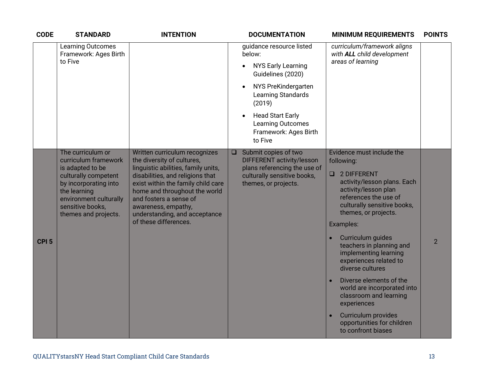| <b>CODE</b>      | <b>STANDARD</b>                                                                                                                                                                                      | <b>INTENTION</b>                                                                                                                                                                                                                                                                                                         | <b>DOCUMENTATION</b>                                                                                                                                                                                                                                                          | <b>MINIMUM REQUIREMENTS</b>                                                                                                                                                                                                                                                                                                                                                                                                                                                                                                | <b>POINTS</b>  |
|------------------|------------------------------------------------------------------------------------------------------------------------------------------------------------------------------------------------------|--------------------------------------------------------------------------------------------------------------------------------------------------------------------------------------------------------------------------------------------------------------------------------------------------------------------------|-------------------------------------------------------------------------------------------------------------------------------------------------------------------------------------------------------------------------------------------------------------------------------|----------------------------------------------------------------------------------------------------------------------------------------------------------------------------------------------------------------------------------------------------------------------------------------------------------------------------------------------------------------------------------------------------------------------------------------------------------------------------------------------------------------------------|----------------|
|                  | <b>Learning Outcomes</b><br>Framework: Ages Birth<br>to Five                                                                                                                                         |                                                                                                                                                                                                                                                                                                                          | guidance resource listed<br>below:<br><b>NYS Early Learning</b><br>$\bullet$<br>Guidelines (2020)<br>NYS PreKindergarten<br>$\bullet$<br>Learning Standards<br>(2019)<br><b>Head Start Early</b><br>$\bullet$<br><b>Learning Outcomes</b><br>Framework: Ages Birth<br>to Five | curriculum/framework aligns<br>with ALL child development<br>areas of learning                                                                                                                                                                                                                                                                                                                                                                                                                                             |                |
| CPI <sub>5</sub> | The curriculum or<br>curriculum framework<br>is adapted to be<br>culturally competent<br>by incorporating into<br>the learning<br>environment culturally<br>sensitive books,<br>themes and projects. | Written curriculum recognizes<br>the diversity of cultures,<br>linguistic abilities, family units,<br>disabilities, and religions that<br>exist within the family child care<br>home and throughout the world<br>and fosters a sense of<br>awareness, empathy,<br>understanding, and acceptance<br>of these differences. | Submit copies of two<br>$\Box$<br>DIFFERENT activity/lesson<br>plans referencing the use of<br>culturally sensitive books,<br>themes, or projects.                                                                                                                            | Evidence must include the<br>following:<br>$\Box$<br>2 DIFFERENT<br>activity/lesson plans. Each<br>activity/lesson plan<br>references the use of<br>culturally sensitive books,<br>themes, or projects.<br>Examples:<br>Curriculum guides<br>teachers in planning and<br>implementing learning<br>experiences related to<br>diverse cultures<br>Diverse elements of the<br>world are incorporated into<br>classroom and learning<br>experiences<br>Curriculum provides<br>opportunities for children<br>to confront biases | $\overline{2}$ |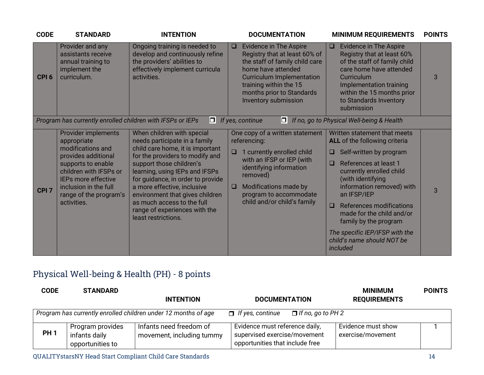| <b>CODE</b>      | <b>STANDARD</b>                                                                                                                                                                                                         | <b>INTENTION</b>                                                                                                                                                                                                                                                                                                                                                                              | <b>DOCUMENTATION</b>                                                                                                                                                                                                                                    | <b>MINIMUM REQUIREMENTS</b>                                                                                                                                                                                                                                                                                                                                                                 | <b>POINTS</b> |
|------------------|-------------------------------------------------------------------------------------------------------------------------------------------------------------------------------------------------------------------------|-----------------------------------------------------------------------------------------------------------------------------------------------------------------------------------------------------------------------------------------------------------------------------------------------------------------------------------------------------------------------------------------------|---------------------------------------------------------------------------------------------------------------------------------------------------------------------------------------------------------------------------------------------------------|---------------------------------------------------------------------------------------------------------------------------------------------------------------------------------------------------------------------------------------------------------------------------------------------------------------------------------------------------------------------------------------------|---------------|
| CPI <sub>6</sub> | Provider and any<br>assistants receive<br>annual training to<br>implement the<br>curriculum.                                                                                                                            | Ongoing training is needed to<br>develop and continuously refine<br>the providers' abilities to<br>effectively implement curricula<br>activities.                                                                                                                                                                                                                                             | <b>Evidence in The Aspire</b><br>$\Box$<br>Registry that at least 60% of<br>the staff of family child care<br>home have attended<br><b>Curriculum Implementation</b><br>training within the 15<br>months prior to Standards<br>Inventory submission     | <b>Evidence in The Aspire</b><br>$\Box$<br>Registry that at least 60%<br>of the staff of family child<br>care home have attended<br><b>Curriculum</b><br>Implementation training<br>within the 15 months prior<br>to Standards Inventory<br>submission                                                                                                                                      | 3             |
|                  | Program has currently enrolled children with IFSPs or IEPs                                                                                                                                                              | OL                                                                                                                                                                                                                                                                                                                                                                                            | If yes, continue<br>$ \square $                                                                                                                                                                                                                         | If no, go to Physical Well-being & Health                                                                                                                                                                                                                                                                                                                                                   |               |
| CPI <sub>7</sub> | Provider implements<br>appropriate<br>modifications and<br>provides additional<br>supports to enable<br>children with IFSPs or<br>IEPs more effective<br>inclusion in the full<br>range of the program's<br>activities. | When children with special<br>needs participate in a family<br>child care home, it is important<br>for the providers to modify and<br>support those children's<br>learning, using IEPs and IFSPs<br>for guidance, in order to provide<br>a more effective, inclusive<br>environment that gives children<br>as much access to the full<br>range of experiences with the<br>least restrictions. | One copy of a written statement<br>referencing:<br>1 currently enrolled child<br>$\Box$<br>with an IFSP or IEP (with<br>identifying information<br>removed)<br>Modifications made by<br>$\Box$<br>program to accommodate<br>child and/or child's family | Written statement that meets<br>ALL of the following criteria<br>Self-written by program<br>References at least 1<br>□<br>currently enrolled child<br>(with identifying<br>information removed) with<br>an IFSP/IEP<br>References modifications<br>$\Box$<br>made for the child and/or<br>family by the program<br>The specific IEP/IFSP with the<br>child's name should NOT be<br>included | 3             |

# Physical Well-being & Health (PH) - 8 points

| <b>CODE</b> | <b>STANDARD</b>                                       |                                                                |                                                                                                   | <b>MINIMUM</b>                          | <b>POINTS</b> |
|-------------|-------------------------------------------------------|----------------------------------------------------------------|---------------------------------------------------------------------------------------------------|-----------------------------------------|---------------|
|             |                                                       | <b>INTENTION</b>                                               | <b>DOCUMENTATION</b>                                                                              | <b>REQUIREMENTS</b>                     |               |
|             |                                                       | Program has currently enrolled children under 12 months of age | $\Box$ If yes, continue<br>$\Box$ If no, go to PH 2                                               |                                         |               |
| <b>PH1</b>  | Program provides<br>infants daily<br>opportunities to | Infants need freedom of<br>movement, including tummy           | Evidence must reference daily,<br>supervised exercise/movement<br>opportunities that include free | Evidence must show<br>exercise/movement |               |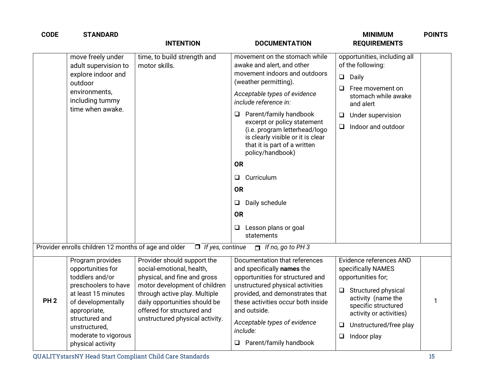| <b>CODE</b>     | <b>STANDARD</b>                                                                                                                                                                                                               | <b>INTENTION</b>                                                                                                                                                                                                                                             | <b>DOCUMENTATION</b>                                                                                                                                                                                                                                                                                                                                                                                                                                                                                              | <b>MINIMUM</b><br><b>REQUIREMENTS</b>                                                                                                                                                                                                  | <b>POINTS</b> |
|-----------------|-------------------------------------------------------------------------------------------------------------------------------------------------------------------------------------------------------------------------------|--------------------------------------------------------------------------------------------------------------------------------------------------------------------------------------------------------------------------------------------------------------|-------------------------------------------------------------------------------------------------------------------------------------------------------------------------------------------------------------------------------------------------------------------------------------------------------------------------------------------------------------------------------------------------------------------------------------------------------------------------------------------------------------------|----------------------------------------------------------------------------------------------------------------------------------------------------------------------------------------------------------------------------------------|---------------|
|                 | move freely under<br>adult supervision to<br>explore indoor and<br>outdoor<br>environments,<br>including tummy<br>time when awake.                                                                                            | time, to build strength and<br>motor skills.                                                                                                                                                                                                                 | movement on the stomach while<br>awake and alert, and other<br>movement indoors and outdoors<br>(weather permitting).<br>Acceptable types of evidence<br>include reference in:<br>Parent/family handbook<br>❏<br>excerpt or policy statement<br>(i.e. program letterhead/logo<br>is clearly visible or it is clear<br>that it is part of a written<br>policy/handbook)<br><b>OR</b><br>Curriculum<br>$\Box$<br><b>OR</b><br>Daily schedule<br>$\Box$<br><b>OR</b><br>Lesson plans or goal<br>$\Box$<br>statements | opportunities, including all<br>of the following:<br>$\Box$<br>Daily<br>Free movement on<br>□<br>stomach while awake<br>and alert<br>Under supervision<br>□<br>Indoor and outdoor<br>$\Box$                                            |               |
|                 | Provider enrolls children 12 months of age and older                                                                                                                                                                          | $\Box$ If yes, continue                                                                                                                                                                                                                                      | $\Box$ If no, go to PH 3                                                                                                                                                                                                                                                                                                                                                                                                                                                                                          |                                                                                                                                                                                                                                        |               |
| PH <sub>2</sub> | Program provides<br>opportunities for<br>toddlers and/or<br>preschoolers to have<br>at least 15 minutes<br>of developmentally<br>appropriate,<br>structured and<br>unstructured,<br>moderate to vigorous<br>physical activity | Provider should support the<br>social-emotional, health,<br>physical, and fine and gross<br>motor development of children<br>through active play. Multiple<br>daily opportunities should be<br>offered for structured and<br>unstructured physical activity. | Documentation that references<br>and specifically names the<br>opportunities for structured and<br>unstructured physical activities<br>provided, and demonstrates that<br>these activities occur both inside<br>and outside.<br>Acceptable types of evidence<br>include:<br>$\Box$ Parent/family handbook                                                                                                                                                                                                         | Evidence references AND<br>specifically NAMES<br>opportunities for;<br><b>Structured physical</b><br>□<br>activity (name the<br>specific structured<br>activity or activities)<br>Unstructured/free play<br>⊔<br>Indoor play<br>$\Box$ |               |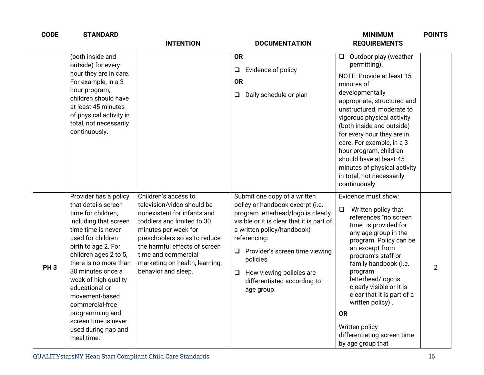| <b>CODE</b>     | <b>STANDARD</b>                                                                                                                                                                                                                                                                                                                                                                                     | <b>INTENTION</b>                                                                                                                                                                                                                                                                         | <b>DOCUMENTATION</b>                                                                                                                                                                                                                                                                                                                   | <b>MINIMUM</b><br><b>REQUIREMENTS</b>                                                                                                                                                                                                                                                                                                                                                                                              | <b>POINTS</b>  |
|-----------------|-----------------------------------------------------------------------------------------------------------------------------------------------------------------------------------------------------------------------------------------------------------------------------------------------------------------------------------------------------------------------------------------------------|------------------------------------------------------------------------------------------------------------------------------------------------------------------------------------------------------------------------------------------------------------------------------------------|----------------------------------------------------------------------------------------------------------------------------------------------------------------------------------------------------------------------------------------------------------------------------------------------------------------------------------------|------------------------------------------------------------------------------------------------------------------------------------------------------------------------------------------------------------------------------------------------------------------------------------------------------------------------------------------------------------------------------------------------------------------------------------|----------------|
|                 | (both inside and<br>outside) for every<br>hour they are in care.<br>For example, in a 3<br>hour program,<br>children should have<br>at least 45 minutes<br>of physical activity in<br>total, not necessarily<br>continuously.                                                                                                                                                                       |                                                                                                                                                                                                                                                                                          | <b>OR</b><br>Evidence of policy<br>$\Box$<br><b>OR</b><br>Daily schedule or plan<br>$\Box$                                                                                                                                                                                                                                             | Outdoor play (weather<br>$\Box$<br>permitting).<br>NOTE: Provide at least 15<br>minutes of<br>developmentally<br>appropriate, structured and<br>unstructured, moderate to<br>vigorous physical activity<br>(both inside and outside)<br>for every hour they are in<br>care. For example, in a 3<br>hour program, children<br>should have at least 45<br>minutes of physical activity<br>in total, not necessarily<br>continuously. |                |
| PH <sub>3</sub> | Provider has a policy<br>that details screen<br>time for children,<br>including that screen<br>time time is never<br>used for children<br>birth to age 2. For<br>children ages 2 to 5,<br>there is no more than<br>30 minutes once a<br>week of high quality<br>educational or<br>movement-based<br>commercial-free<br>programming and<br>screen time is never<br>used during nap and<br>meal time. | Children's access to<br>television/video should be<br>nonexistent for infants and<br>toddlers and limited to 30<br>minutes per week for<br>preschoolers so as to reduce<br>the harmful effects of screen<br>time and commercial<br>marketing on health, learning,<br>behavior and sleep. | Submit one copy of a written<br>policy or handbook excerpt (i.e.<br>program letterhead/logo is clearly<br>visible or it is clear that it is part of<br>a written policy/handbook)<br>referencing:<br>$\Box$ Provider's screen time viewing<br>policies.<br>How viewing policies are<br>Q.<br>differentiated according to<br>age group. | Evidence must show:<br>Written policy that<br>$\Box$<br>references "no screen<br>time" is provided for<br>any age group in the<br>program. Policy can be<br>an excerpt from<br>program's staff or<br>family handbook (i.e.<br>program<br>letterhead/logo is<br>clearly visible or it is<br>clear that it is part of a<br>written policy).<br><b>OR</b><br>Written policy<br>differentiating screen time<br>by age group that       | $\overline{2}$ |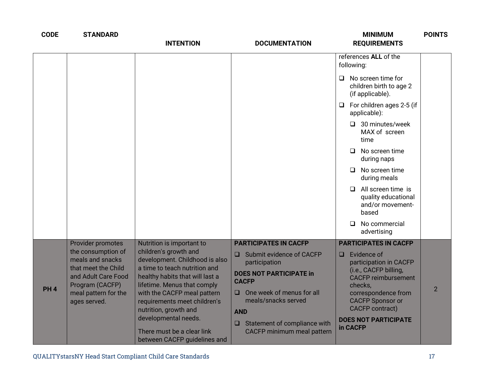| <b>CODE</b> | <b>STANDARD</b>                                                                                                                                                      | <b>INTENTION</b>                                                                                                                                                                                                                                                                                                                                                      | <b>DOCUMENTATION</b>                                                                                                                                                                                                                                                         | <b>MINIMUM</b><br><b>REQUIREMENTS</b>                                                                                                                                                                                                                                                                                                                                                                                                   | <b>POINTS</b>  |
|-------------|----------------------------------------------------------------------------------------------------------------------------------------------------------------------|-----------------------------------------------------------------------------------------------------------------------------------------------------------------------------------------------------------------------------------------------------------------------------------------------------------------------------------------------------------------------|------------------------------------------------------------------------------------------------------------------------------------------------------------------------------------------------------------------------------------------------------------------------------|-----------------------------------------------------------------------------------------------------------------------------------------------------------------------------------------------------------------------------------------------------------------------------------------------------------------------------------------------------------------------------------------------------------------------------------------|----------------|
|             |                                                                                                                                                                      |                                                                                                                                                                                                                                                                                                                                                                       |                                                                                                                                                                                                                                                                              | references ALL of the<br>following:<br>No screen time for<br>$\Box$<br>children birth to age 2<br>(if applicable).<br>For children ages 2-5 (if<br>$\Box$<br>applicable):<br>$\Box$ 30 minutes/week<br>MAX of screen<br>time<br>No screen time<br>□<br>during naps<br>No screen time<br>◻<br>during meals<br>All screen time is<br>$\Box$<br>quality educational<br>and/or movement-<br>based<br>No commercial<br>$\Box$<br>advertising |                |
| <b>PH4</b>  | Provider promotes<br>the consumption of<br>meals and snacks<br>that meet the Child<br>and Adult Care Food<br>Program (CACFP)<br>meal pattern for the<br>ages served. | Nutrition is important to<br>children's growth and<br>development. Childhood is also<br>a time to teach nutrition and<br>healthy habits that will last a<br>lifetime. Menus that comply<br>with the CACFP meal pattern<br>requirements meet children's<br>nutrition, growth and<br>developmental needs.<br>There must be a clear link<br>between CACFP guidelines and | <b>PARTICIPATES IN CACFP</b><br>Submit evidence of CACFP<br>$\Box$<br>participation<br><b>DOES NOT PARTICIPATE in</b><br><b>CACFP</b><br>One week of menus for all<br>meals/snacks served<br><b>AND</b><br>$\Box$ Statement of compliance with<br>CACFP minimum meal pattern | <b>PARTICIPATES IN CACFP</b><br>$\Box$ Evidence of<br>participation in CACFP<br>(i.e., CACFP billing,<br><b>CACFP reimbursement</b><br>checks,<br>correspondence from<br><b>CACFP Sponsor or</b><br>CACFP contract)<br><b>DOES NOT PARTICIPATE</b><br>in CACFP                                                                                                                                                                          | $\overline{2}$ |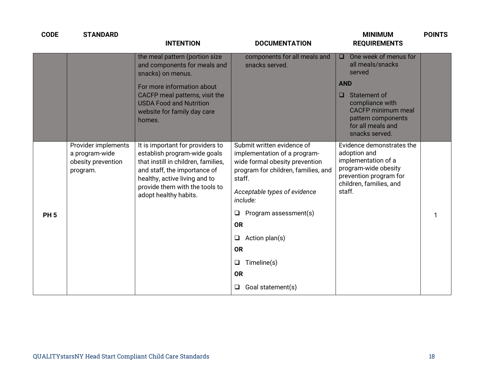| <b>CODE</b> | <b>STANDARD</b>                                                         | <b>INTENTION</b>                                                                                                                                                                                                                    | <b>DOCUMENTATION</b>                                                                                                                                                                                                                                                                                                                                    | <b>MINIMUM</b><br><b>REQUIREMENTS</b>                                                                                                                                                                         | <b>POINTS</b> |
|-------------|-------------------------------------------------------------------------|-------------------------------------------------------------------------------------------------------------------------------------------------------------------------------------------------------------------------------------|---------------------------------------------------------------------------------------------------------------------------------------------------------------------------------------------------------------------------------------------------------------------------------------------------------------------------------------------------------|---------------------------------------------------------------------------------------------------------------------------------------------------------------------------------------------------------------|---------------|
|             |                                                                         | the meal pattern (portion size<br>and components for meals and<br>snacks) on menus.<br>For more information about<br>CACFP meal patterns, visit the<br><b>USDA Food and Nutrition</b><br>website for family day care<br>homes.      | components for all meals and<br>snacks served.                                                                                                                                                                                                                                                                                                          | One week of menus for<br>□<br>all meals/snacks<br>served<br><b>AND</b><br>Statement of<br>$\Box$<br>compliance with<br><b>CACFP</b> minimum meal<br>pattern components<br>for all meals and<br>snacks served. |               |
| <b>PH5</b>  | Provider implements<br>a program-wide<br>obesity prevention<br>program. | It is important for providers to<br>establish program-wide goals<br>that instill in children, families,<br>and staff, the importance of<br>healthy, active living and to<br>provide them with the tools to<br>adopt healthy habits. | Submit written evidence of<br>implementation of a program-<br>wide formal obesity prevention<br>program for children, families, and<br>staff.<br>Acceptable types of evidence<br>include:<br>Program assessment(s)<br>$\Box$<br><b>OR</b><br>Action plan(s)<br>$\Box$<br><b>OR</b><br>Timeline(s)<br>$\Box$<br><b>OR</b><br>Goal statement(s)<br>$\Box$ | Evidence demonstrates the<br>adoption and<br>implementation of a<br>program-wide obesity<br>prevention program for<br>children, families, and<br>staff.                                                       |               |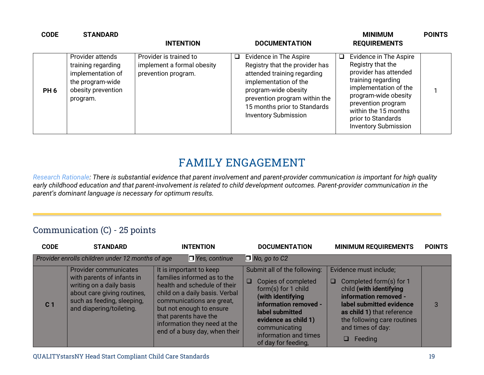| <b>CODE</b>     | <b>STANDARD</b>                                                                                                   | <b>INTENTION</b>                                                            | <b>DOCUMENTATION</b>                                                                                                                                                                                                                               | <b>MINIMUM</b><br><b>REQUIREMENTS</b>                                                                                                                                                                                                          | <b>POINTS</b> |
|-----------------|-------------------------------------------------------------------------------------------------------------------|-----------------------------------------------------------------------------|----------------------------------------------------------------------------------------------------------------------------------------------------------------------------------------------------------------------------------------------------|------------------------------------------------------------------------------------------------------------------------------------------------------------------------------------------------------------------------------------------------|---------------|
| PH <sub>6</sub> | Provider attends<br>training regarding<br>implementation of<br>the program-wide<br>obesity prevention<br>program. | Provider is trained to<br>implement a formal obesity<br>prevention program. | Evidence in The Aspire<br>$\Box$<br>Registry that the provider has<br>attended training regarding<br>implementation of the<br>program-wide obesity<br>prevention program within the<br>15 months prior to Standards<br><b>Inventory Submission</b> | Evidence in The Aspire<br>Registry that the<br>provider has attended<br>training regarding<br>implementation of the<br>program-wide obesity<br>prevention program<br>within the 15 months<br>prior to Standards<br><b>Inventory Submission</b> |               |

# **FAMILY ENGAGEMENT**

*Research Rationale: There is substantial evidence that parent involvement and parent-provider communication is important for high quality early childhood education and that parent-involvement is related to child development outcomes. Parent-provider communication in the parent's dominant language is necessary for optimum results.*

#### Communication (C) - 25 points

| <b>CODE</b>    | <b>STANDARD</b>                                                                                                                                                          | <b>INTENTION</b>                                                                                                                                                                                                                                                            | <b>DOCUMENTATION</b>                                                                                                                                                                                                                           | <b>MINIMUM REQUIREMENTS</b>                                                                                                                                                                                                               | <b>POINTS</b> |
|----------------|--------------------------------------------------------------------------------------------------------------------------------------------------------------------------|-----------------------------------------------------------------------------------------------------------------------------------------------------------------------------------------------------------------------------------------------------------------------------|------------------------------------------------------------------------------------------------------------------------------------------------------------------------------------------------------------------------------------------------|-------------------------------------------------------------------------------------------------------------------------------------------------------------------------------------------------------------------------------------------|---------------|
|                | Provider enrolls children under 12 months of age                                                                                                                         | $\Box$ Yes, continue                                                                                                                                                                                                                                                        | $\Box$ No, go to C2                                                                                                                                                                                                                            |                                                                                                                                                                                                                                           |               |
| C <sub>1</sub> | Provider communicates<br>with parents of infants in<br>writing on a daily basis<br>about care giving routines,<br>such as feeding, sleeping,<br>and diapering/toileting. | It is important to keep<br>families informed as to the<br>health and schedule of their<br>child on a daily basis. Verbal<br>communications are great,<br>but not enough to ensure<br>that parents have the<br>information they need at the<br>end of a busy day, when their | Submit all of the following:<br>$\Box$<br>Copies of completed<br>form(s) for 1 child<br>(with identifying<br>information removed -<br>label submitted<br>evidence as child 1)<br>communicating<br>information and times<br>of day for feeding, | Evidence must include;<br>Completed form(s) for 1<br>O.<br>child (with identifying<br>information removed -<br>label submitted evidence<br>as child 1) that reference<br>the following care routines<br>and times of day:<br>Feeding<br>□ |               |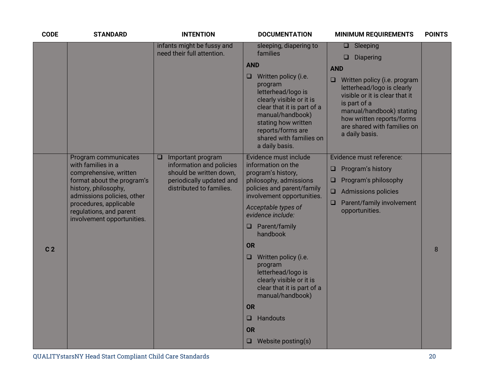| <b>CODE</b>    | <b>STANDARD</b>                                                                                                                                                                                                                             | <b>INTENTION</b>                                                                                                                      | <b>DOCUMENTATION</b>                                                                                                                                                                                                                                                                                                                                                                                                                                                        | <b>MINIMUM REQUIREMENTS</b>                                                                                                                                                                                                                                                                | <b>POINTS</b> |
|----------------|---------------------------------------------------------------------------------------------------------------------------------------------------------------------------------------------------------------------------------------------|---------------------------------------------------------------------------------------------------------------------------------------|-----------------------------------------------------------------------------------------------------------------------------------------------------------------------------------------------------------------------------------------------------------------------------------------------------------------------------------------------------------------------------------------------------------------------------------------------------------------------------|--------------------------------------------------------------------------------------------------------------------------------------------------------------------------------------------------------------------------------------------------------------------------------------------|---------------|
|                |                                                                                                                                                                                                                                             | infants might be fussy and<br>need their full attention.                                                                              | sleeping, diapering to<br>families<br><b>AND</b><br>Written policy (i.e.<br>□<br>program<br>letterhead/logo is<br>clearly visible or it is<br>clear that it is part of a<br>manual/handbook)<br>stating how written<br>reports/forms are<br>shared with families on<br>a daily basis.                                                                                                                                                                                       | $\Box$ Sleeping<br><b>Diapering</b><br>◻<br><b>AND</b><br>$\Box$<br>Written policy (i.e. program<br>letterhead/logo is clearly<br>visible or it is clear that it<br>is part of a<br>manual/handbook) stating<br>how written reports/forms<br>are shared with families on<br>a daily basis. |               |
| C <sub>2</sub> | Program communicates<br>with families in a<br>comprehensive, written<br>format about the program's<br>history, philosophy,<br>admissions policies, other<br>procedures, applicable<br>regulations, and parent<br>involvement opportunities. | Important program<br>□<br>information and policies<br>should be written down,<br>periodically updated and<br>distributed to families. | Evidence must include<br>information on the<br>program's history,<br>philosophy, admissions<br>policies and parent/family<br>involvement opportunities.<br>Acceptable types of<br>evidence include:<br>$\Box$ Parent/family<br>handbook<br><b>OR</b><br>Written policy (i.e.<br>$\Box$<br>program<br>letterhead/logo is<br>clearly visible or it is<br>clear that it is part of a<br>manual/handbook)<br><b>OR</b><br>Handouts<br>$\Box$<br>OR<br>$\Box$ Website posting(s) | Evidence must reference:<br>Program's history<br>❏<br>Program's philosophy<br>$\Box$<br><b>Admissions policies</b><br>Parent/family involvement<br>❏<br>opportunities.                                                                                                                     | 8             |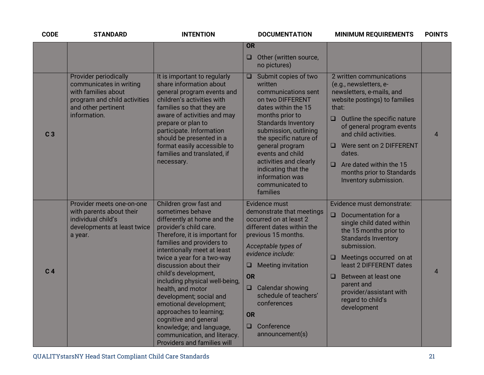| <b>CODE</b>    | <b>STANDARD</b>                                                                                                                                       | <b>INTENTION</b>                                                                                                                                                                                                                                                                                                                                                                                                                                                                                                                                    | <b>DOCUMENTATION</b>                                                                                                                                                                                                                                                                                                                                      | <b>MINIMUM REQUIREMENTS</b>                                                                                                                                                                                                                                                                                                                                      | <b>POINTS</b>  |
|----------------|-------------------------------------------------------------------------------------------------------------------------------------------------------|-----------------------------------------------------------------------------------------------------------------------------------------------------------------------------------------------------------------------------------------------------------------------------------------------------------------------------------------------------------------------------------------------------------------------------------------------------------------------------------------------------------------------------------------------------|-----------------------------------------------------------------------------------------------------------------------------------------------------------------------------------------------------------------------------------------------------------------------------------------------------------------------------------------------------------|------------------------------------------------------------------------------------------------------------------------------------------------------------------------------------------------------------------------------------------------------------------------------------------------------------------------------------------------------------------|----------------|
|                |                                                                                                                                                       |                                                                                                                                                                                                                                                                                                                                                                                                                                                                                                                                                     | <b>OR</b>                                                                                                                                                                                                                                                                                                                                                 |                                                                                                                                                                                                                                                                                                                                                                  |                |
|                |                                                                                                                                                       |                                                                                                                                                                                                                                                                                                                                                                                                                                                                                                                                                     | Other (written source,<br>$\Box$<br>no pictures)                                                                                                                                                                                                                                                                                                          |                                                                                                                                                                                                                                                                                                                                                                  |                |
| C <sub>3</sub> | <b>Provider periodically</b><br>communicates in writing<br>with families about<br>program and child activities<br>and other pertinent<br>information. | It is important to regularly<br>share information about<br>general program events and<br>children's activities with<br>families so that they are<br>aware of activities and may<br>prepare or plan to<br>participate. Information<br>should be presented in a<br>format easily accessible to<br>families and translated, if<br>necessary.                                                                                                                                                                                                           | Submit copies of two<br>$\Box$<br>written<br>communications sent<br>on two DIFFERENT<br>dates within the 15<br>months prior to<br><b>Standards Inventory</b><br>submission, outlining<br>the specific nature of<br>general program<br>events and child<br>activities and clearly<br>indicating that the<br>information was<br>communicated to<br>families | 2 written communications<br>(e.g., newsletters, e-<br>newsletters, e-mails, and<br>website postings) to families<br>that:<br>Outline the specific nature<br>$\Box$<br>of general program events<br>and child activities.<br>Were sent on 2 DIFFERENT<br>$\Box$<br>dates.<br>$\Box$ Are dated within the 15<br>months prior to Standards<br>Inventory submission. | $\overline{4}$ |
| C <sub>4</sub> | Provider meets one-on-one<br>with parents about their<br>individual child's<br>developments at least twice<br>a year.                                 | Children grow fast and<br>sometimes behave<br>differently at home and the<br>provider's child care.<br>Therefore, it is important for<br>families and providers to<br>intentionally meet at least<br>twice a year for a two-way<br>discussion about their<br>child's development,<br>including physical well-being,<br>health, and motor<br>development; social and<br>emotional development;<br>approaches to learning;<br>cognitive and general<br>knowledge; and language,<br>communication, and literacy.<br><b>Providers and families will</b> | Evidence must<br>demonstrate that meetings<br>occurred on at least 2<br>different dates within the<br>previous 15 months.<br>Acceptable types of<br>evidence include:<br><b>Meeting invitation</b><br>u<br><b>OR</b><br>Calendar showing<br>$\Box$<br>schedule of teachers'<br>conferences<br><b>OR</b><br>Conference<br>$\Box$<br>announcement(s)        | Evidence must demonstrate:<br>Documentation for a<br>$\Box$<br>single child dated within<br>the 15 months prior to<br><b>Standards Inventory</b><br>submission.<br>$\Box$ Meetings occurred on at<br>least 2 DIFFERENT dates<br>Between at least one<br>$\Box$<br>parent and<br>provider/assistant with<br>regard to child's<br>development                      | $\overline{4}$ |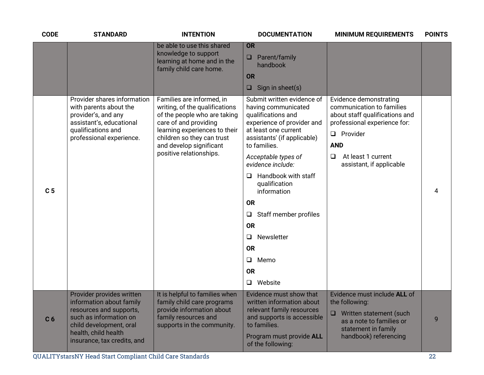| <b>CODE</b>    | <b>STANDARD</b>                                                                                                                                                                              | <b>INTENTION</b>                                                                                                                                                                                                                          | <b>DOCUMENTATION</b>                                                                                                                                                                                                                                                                                                                                                                                                                         | <b>MINIMUM REQUIREMENTS</b>                                                                                                                                                                                        | <b>POINTS</b> |
|----------------|----------------------------------------------------------------------------------------------------------------------------------------------------------------------------------------------|-------------------------------------------------------------------------------------------------------------------------------------------------------------------------------------------------------------------------------------------|----------------------------------------------------------------------------------------------------------------------------------------------------------------------------------------------------------------------------------------------------------------------------------------------------------------------------------------------------------------------------------------------------------------------------------------------|--------------------------------------------------------------------------------------------------------------------------------------------------------------------------------------------------------------------|---------------|
|                |                                                                                                                                                                                              | be able to use this shared<br>knowledge to support<br>learning at home and in the<br>family child care home.                                                                                                                              | OR<br>Parent/family<br>$\Box$<br>handbook<br><b>OR</b><br>Sign in sheet(s)<br>$\Box$                                                                                                                                                                                                                                                                                                                                                         |                                                                                                                                                                                                                    |               |
| C <sub>5</sub> | Provider shares information<br>with parents about the<br>provider's, and any<br>assistant's, educational<br>qualifications and<br>professional experience.                                   | Families are informed, in<br>writing, of the qualifications<br>of the people who are taking<br>care of and providing<br>learning experiences to their<br>children so they can trust<br>and develop significant<br>positive relationships. | Submit written evidence of<br>having communicated<br>qualifications and<br>experience of provider and<br>at least one current<br>assistants' (if applicable)<br>to families.<br>Acceptable types of<br>evidence include:<br>Handbook with staff<br>$\Box$<br>qualification<br>information<br><b>OR</b><br>Staff member profiles<br>$\Box$<br><b>OR</b><br>Newsletter<br>$\Box$<br><b>OR</b><br>Memo<br>$\Box$<br><b>OR</b><br>$\Box$ Website | Evidence demonstrating<br>communication to families<br>about staff qualifications and<br>professional experience for:<br>$\Box$ Provider<br><b>AND</b><br>At least 1 current<br>$\Box$<br>assistant, if applicable | 4             |
| C <sub>6</sub> | Provider provides written<br>information about family<br>resources and supports,<br>such as information on<br>child development, oral<br>health, child health<br>insurance, tax credits, and | It is helpful to families when<br>family child care programs<br>provide information about<br>family resources and<br>supports in the community.                                                                                           | Evidence must show that<br>written information about<br>relevant family resources<br>and supports is accessible<br>to families.<br>Program must provide ALL<br>of the following:                                                                                                                                                                                                                                                             | Evidence must include ALL of<br>the following:<br>Written statement (such<br>$\Box$<br>as a note to families or<br>statement in family<br>handbook) referencing                                                    | 9             |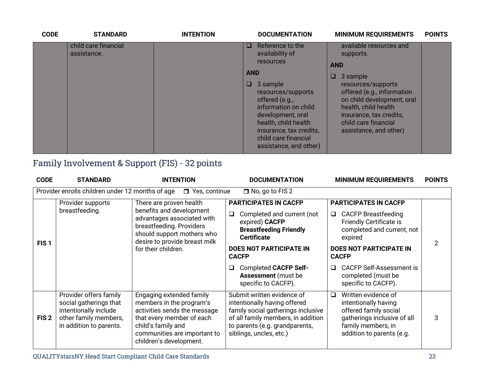| <b>CODE</b> | <b>STANDARD</b>                     | <b>INTENTION</b> |                           | <b>DOCUMENTATION</b>                                                                                                                                                                                                                                          | <b>MINIMUM REQUIREMENTS</b>                                                                                                                                                                                                                           | <b>POINTS</b> |
|-------------|-------------------------------------|------------------|---------------------------|---------------------------------------------------------------------------------------------------------------------------------------------------------------------------------------------------------------------------------------------------------------|-------------------------------------------------------------------------------------------------------------------------------------------------------------------------------------------------------------------------------------------------------|---------------|
|             | child care financial<br>assistance. |                  | $\Box$<br><b>AND</b><br>O | Reference to the<br>availability of<br><b>resources</b><br>3 sample<br>resources/supports<br>offered (e.g.,<br>information on child<br>development, oral<br>health, child health<br>insurance, tax credits,<br>child care financial<br>assistance, and other) | available resources and<br>supports.<br><b>AND</b><br>3 sample<br>resources/supports<br>offered (e.g., information<br>on child development, oral<br>health, child health<br>insurance, tax credits,<br>child care financial<br>assistance, and other) |               |

# Family Involvement & Support (FIS) - 32 points

| <b>CODE</b>      | <b>STANDARD</b>                                                                                                                                                                                                                                      | <b>INTENTION</b>                                                                                                                                                                                   | <b>DOCUMENTATION</b>                                                                                                                                                                                | <b>MINIMUM REQUIREMENTS</b>                                                                                                                                                                       | <b>POINTS</b> |  |
|------------------|------------------------------------------------------------------------------------------------------------------------------------------------------------------------------------------------------------------------------------------------------|----------------------------------------------------------------------------------------------------------------------------------------------------------------------------------------------------|-----------------------------------------------------------------------------------------------------------------------------------------------------------------------------------------------------|---------------------------------------------------------------------------------------------------------------------------------------------------------------------------------------------------|---------------|--|
|                  | Provider enrolls children under 12 months of age                                                                                                                                                                                                     | $\Box$ Yes, continue                                                                                                                                                                               | $\Box$ No, go to FIS 2                                                                                                                                                                              |                                                                                                                                                                                                   |               |  |
| FIS <sub>1</sub> | Provider supports<br>There are proven health<br>breastfeeding.<br>benefits and development<br>$\Box$<br>advantages associated with<br>breastfeeding. Providers<br>should support mothers who<br>desire to provide breast milk<br>for their children. |                                                                                                                                                                                                    | <b>PARTICIPATES IN CACFP</b><br>Completed and current (not<br>expired) CACFP<br><b>Breastfeeding Friendly</b><br><b>Certificate</b><br><b>DOES NOT PARTICIPATE IN</b><br><b>CACFP</b>               | <b>PARTICIPATES IN CACFP</b><br><b>CACFP Breastfeeding</b><br>$\Box$<br><b>Friendly Certificate is</b><br>completed and current, not<br>expired<br><b>DOES NOT PARTICIPATE IN</b><br><b>CACFP</b> |               |  |
|                  |                                                                                                                                                                                                                                                      |                                                                                                                                                                                                    | <b>Completed CACFP Self-</b><br>❏<br><b>Assessment</b> (must be<br>specific to CACFP).                                                                                                              | <b>CACFP Self-Assessment is</b><br>$\Box$<br>completed (must be<br>specific to CACFP).                                                                                                            |               |  |
| FIS <sub>2</sub> | Provider offers family<br>social gatherings that<br>intentionally include<br>other family members,<br>in addition to parents.                                                                                                                        | Engaging extended family<br>members in the program's<br>activities sends the message<br>that every member of each<br>child's family and<br>communities are important to<br>children's development. | Submit written evidence of<br>intentionally having offered<br>family social gatherings inclusive<br>of all family members, in addition<br>to parents (e.g. grandparents,<br>siblings, uncles, etc.) | Written evidence of<br>$\Box$<br>intentionally having<br>offered family social<br>gatherings inclusive of all<br>family members, in<br>addition to parents (e.g.                                  | 3             |  |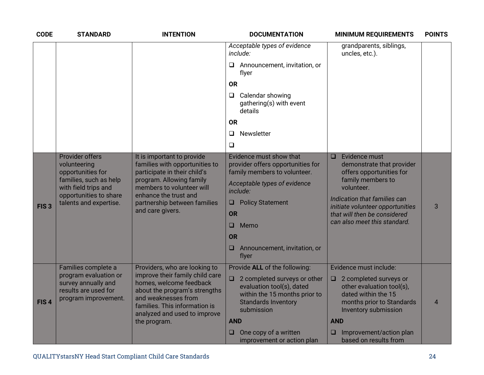| <b>CODE</b>      | <b>STANDARD</b>                                                                                                                                                   | <b>INTENTION</b>                                                                                                                                                                                                                     | <b>DOCUMENTATION</b>                                                                                                                                                                                                                                               | <b>MINIMUM REQUIREMENTS</b>                                                                                                                                                                                                                        | <b>POINTS</b>  |
|------------------|-------------------------------------------------------------------------------------------------------------------------------------------------------------------|--------------------------------------------------------------------------------------------------------------------------------------------------------------------------------------------------------------------------------------|--------------------------------------------------------------------------------------------------------------------------------------------------------------------------------------------------------------------------------------------------------------------|----------------------------------------------------------------------------------------------------------------------------------------------------------------------------------------------------------------------------------------------------|----------------|
|                  |                                                                                                                                                                   |                                                                                                                                                                                                                                      | Acceptable types of evidence<br>include:                                                                                                                                                                                                                           | grandparents, siblings,<br>uncles, etc.).                                                                                                                                                                                                          |                |
|                  |                                                                                                                                                                   |                                                                                                                                                                                                                                      | Announcement, invitation, or<br>□<br>flyer                                                                                                                                                                                                                         |                                                                                                                                                                                                                                                    |                |
|                  |                                                                                                                                                                   |                                                                                                                                                                                                                                      | <b>OR</b>                                                                                                                                                                                                                                                          |                                                                                                                                                                                                                                                    |                |
|                  |                                                                                                                                                                   |                                                                                                                                                                                                                                      | Calendar showing<br>$\Box$<br>gathering(s) with event<br>details                                                                                                                                                                                                   |                                                                                                                                                                                                                                                    |                |
|                  |                                                                                                                                                                   |                                                                                                                                                                                                                                      | <b>OR</b>                                                                                                                                                                                                                                                          |                                                                                                                                                                                                                                                    |                |
|                  |                                                                                                                                                                   |                                                                                                                                                                                                                                      | Newsletter<br>$\Box$                                                                                                                                                                                                                                               |                                                                                                                                                                                                                                                    |                |
|                  |                                                                                                                                                                   |                                                                                                                                                                                                                                      | ❏                                                                                                                                                                                                                                                                  |                                                                                                                                                                                                                                                    |                |
| FIS <sub>3</sub> | <b>Provider offers</b><br>volunteering<br>opportunities for<br>families, such as help<br>with field trips and<br>opportunities to share<br>talents and expertise. | It is important to provide<br>families with opportunities to<br>participate in their child's<br>program. Allowing family<br>members to volunteer will<br>enhance the trust and<br>partnership between families<br>and care givers.   | Evidence must show that<br>provider offers opportunities for<br>family members to volunteer.<br>Acceptable types of evidence<br>include:<br><b>Policy Statement</b><br>$\Box$<br><b>OR</b><br>Memo<br>◻<br><b>OR</b><br>Announcement, invitation, or<br>□<br>flyer | Evidence must<br>O<br>demonstrate that provider<br>offers opportunities for<br>family members to<br>volunteer.<br>Indication that families can<br>initiate volunteer opportunities<br>that will then be considered<br>can also meet this standard. | 3              |
| FIS <sub>4</sub> | Families complete a<br>program evaluation or<br>survey annually and<br>results are used for<br>program improvement.                                               | Providers, who are looking to<br>improve their family child care<br>homes, welcome feedback<br>about the program's strengths<br>and weaknesses from<br>families. This information is<br>analyzed and used to improve<br>the program. | Provide ALL of the following:<br>2 completed surveys or other<br>$\Box$<br>evaluation tool(s), dated<br>within the 15 months prior to<br><b>Standards Inventory</b><br>submission<br><b>AND</b><br>One copy of a written<br>u                                      | Evidence must include:<br>$\Box$ 2 completed surveys or<br>other evaluation tool(s),<br>dated within the 15<br>months prior to Standards<br>Inventory submission<br><b>AND</b><br>Improvement/action plan<br>□                                     | $\overline{4}$ |
|                  |                                                                                                                                                                   |                                                                                                                                                                                                                                      | improvement or action plan                                                                                                                                                                                                                                         | based on results from                                                                                                                                                                                                                              |                |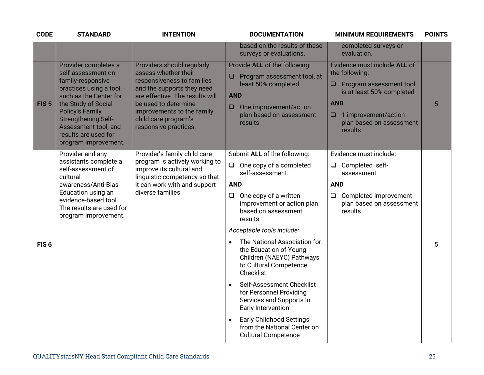| <b>CODE</b>      | <b>STANDARD</b>                                                                                                                                                                                                                                                             | <b>INTENTION</b>                                                                                                                                                                                                                                         | <b>DOCUMENTATION</b>                                                                                                                                                                                                                                                                                                                                                                                                                                                                                                                                                                                   | <b>MINIMUM REQUIREMENTS</b>                                                                                                                                                                | <b>POINTS</b> |
|------------------|-----------------------------------------------------------------------------------------------------------------------------------------------------------------------------------------------------------------------------------------------------------------------------|----------------------------------------------------------------------------------------------------------------------------------------------------------------------------------------------------------------------------------------------------------|--------------------------------------------------------------------------------------------------------------------------------------------------------------------------------------------------------------------------------------------------------------------------------------------------------------------------------------------------------------------------------------------------------------------------------------------------------------------------------------------------------------------------------------------------------------------------------------------------------|--------------------------------------------------------------------------------------------------------------------------------------------------------------------------------------------|---------------|
|                  |                                                                                                                                                                                                                                                                             |                                                                                                                                                                                                                                                          | based on the results of these<br>surveys or evaluations.                                                                                                                                                                                                                                                                                                                                                                                                                                                                                                                                               | completed surveys or<br>evaluation.                                                                                                                                                        |               |
| FIS <sub>5</sub> | Provider completes a<br>self-assessment on<br>family-responsive<br>practices using a tool,<br>such as the Center for<br>the Study of Social<br><b>Policy's Family</b><br><b>Strengthening Self-</b><br>Assessment tool, and<br>results are used for<br>program improvement. | Providers should regularly<br>assess whether their<br>responsiveness to families<br>and the supports they need<br>are effective. The results will<br>be used to determine<br>improvements to the family<br>child care program's<br>responsive practices. | Provide ALL of the following:<br>Program assessment tool, at<br>least 50% completed<br><b>AND</b><br>One improvement/action<br>$\Box$<br>plan based on assessment<br>results                                                                                                                                                                                                                                                                                                                                                                                                                           | Evidence must include ALL of<br>the following:<br>Program assessment tool<br>is at least 50% completed<br><b>AND</b><br>$\Box$ 1 improvement/action<br>plan based on assessment<br>results | 5             |
| FIS <sub>6</sub> | Provider and any<br>assistants complete a<br>self-assessment of<br>cultural<br>awareness/Anti-Bias<br>Education using an<br>evidence-based tool.<br>The results are used for<br>program improvement.                                                                        | Provider's family child care<br>program is actively working to<br>improve its cultural and<br>linguistic competency so that<br>it can work with and support<br>diverse families.                                                                         | Submit ALL of the following:<br>One copy of a completed<br>$\Box$<br>self-assessment.<br><b>AND</b><br>One copy of a written<br>$\Box$<br>improvement or action plan<br>based on assessment<br>results.<br>Acceptable tools include:<br>The National Association for<br>the Education of Young<br>Children (NAEYC) Pathways<br>to Cultural Competence<br>Checklist<br>Self-Assessment Checklist<br>$\bullet$<br>for Personnel Providing<br>Services and Supports In<br>Early Intervention<br><b>Early Childhood Settings</b><br>$\bullet$<br>from the National Center on<br><b>Cultural Competence</b> | Evidence must include:<br>Completed self-<br>$\Box$<br>assessment<br><b>AND</b><br>$\Box$<br>Completed improvement<br>plan based on assessment<br>results.                                 | 5             |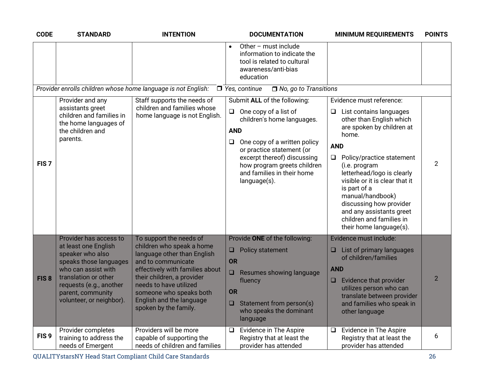| <b>CODE</b>      | <b>STANDARD</b>                                                                                                                                                       | <b>INTENTION</b>                                                                                                                                                                                                             | <b>DOCUMENTATION</b>                                                                                                                                                                                                                                                                              | <b>MINIMUM REQUIREMENTS</b>                                                                                                                                                                                                                                                                                                                                                                                        | <b>POINTS</b>  |
|------------------|-----------------------------------------------------------------------------------------------------------------------------------------------------------------------|------------------------------------------------------------------------------------------------------------------------------------------------------------------------------------------------------------------------------|---------------------------------------------------------------------------------------------------------------------------------------------------------------------------------------------------------------------------------------------------------------------------------------------------|--------------------------------------------------------------------------------------------------------------------------------------------------------------------------------------------------------------------------------------------------------------------------------------------------------------------------------------------------------------------------------------------------------------------|----------------|
|                  |                                                                                                                                                                       |                                                                                                                                                                                                                              | Other - must include<br>$\bullet$<br>information to indicate the<br>tool is related to cultural<br>awareness/anti-bias<br>education                                                                                                                                                               |                                                                                                                                                                                                                                                                                                                                                                                                                    |                |
|                  |                                                                                                                                                                       | Provider enrolls children whose home language is not English:                                                                                                                                                                | $\Box$ Yes, continue<br>$\Box$ No, go to Transitions                                                                                                                                                                                                                                              |                                                                                                                                                                                                                                                                                                                                                                                                                    |                |
| FIS <sub>7</sub> | Provider and any<br>assistants greet<br>children and families in<br>the home languages of<br>the children and<br>parents.                                             | Staff supports the needs of<br>children and families whose<br>home language is not English.                                                                                                                                  | Submit ALL of the following:<br>One copy of a list of<br>$\Box$<br>children's home languages.<br><b>AND</b><br>One copy of a written policy<br>$\Box$<br>or practice statement (or<br>excerpt thereof) discussing<br>how program greets children<br>and families in their home<br>$language(s)$ . | Evidence must reference:<br>List contains languages<br>⊔<br>other than English which<br>are spoken by children at<br>home.<br><b>AND</b><br>Policy/practice statement<br>$\Box$<br>(i.e. program<br>letterhead/logo is clearly<br>visible or it is clear that it<br>is part of a<br>manual/handbook)<br>discussing how provider<br>and any assistants greet<br>children and families in<br>their home language(s). | $\overline{2}$ |
|                  | Provider has access to<br>at least one English                                                                                                                        | To support the needs of<br>children who speak a home                                                                                                                                                                         | Provide ONE of the following:                                                                                                                                                                                                                                                                     | Evidence must include:                                                                                                                                                                                                                                                                                                                                                                                             |                |
| FIS <sub>8</sub> | speaker who also<br>speaks those languages<br>who can assist with<br>translation or other<br>requests (e.g., another<br>parent, community<br>volunteer, or neighbor). | language other than English<br>and to communicate<br>effectively with families about<br>their children, a provider<br>needs to have utilized<br>someone who speaks both<br>English and the language<br>spoken by the family. | Policy statement<br>❏<br>OR<br>Resumes showing language<br>❏<br>fluency<br><b>OR</b><br>Statement from person(s)<br>$\Box$                                                                                                                                                                        | List of primary languages<br>$\Box$<br>of children/families<br><b>AND</b><br>Evidence that provider<br>$\Box$<br>utilizes person who can<br>translate between provider<br>and families who speak in                                                                                                                                                                                                                | $\overline{2}$ |
| FIS <sub>9</sub> | Provider completes<br>training to address the                                                                                                                         | Providers will be more<br>capable of supporting the                                                                                                                                                                          | who speaks the dominant<br>language<br>Evidence in The Aspire<br>$\Box$<br>Registry that at least the                                                                                                                                                                                             | other language<br>Evidence in The Aspire<br>$\Box$<br>Registry that at least the                                                                                                                                                                                                                                                                                                                                   | 6              |
|                  | needs of Emergent                                                                                                                                                     | needs of children and families                                                                                                                                                                                               | provider has attended                                                                                                                                                                                                                                                                             | provider has attended                                                                                                                                                                                                                                                                                                                                                                                              |                |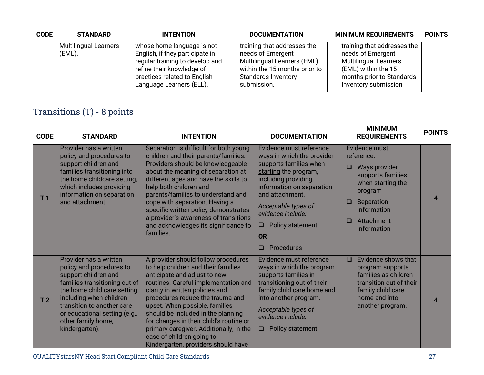| <b>CODE</b> | <b>STANDARD</b>                        | <b>INTENTION</b>                                                                                                                                                                          | <b>DOCUMENTATION</b>                                                                                                                                          | <b>MINIMUM REQUIREMENTS</b>                                                                                                                                  | <b>POINTS</b> |
|-------------|----------------------------------------|-------------------------------------------------------------------------------------------------------------------------------------------------------------------------------------------|---------------------------------------------------------------------------------------------------------------------------------------------------------------|--------------------------------------------------------------------------------------------------------------------------------------------------------------|---------------|
|             | <b>Multilingual Learners</b><br>(EML). | whose home language is not<br>English, if they participate in<br>regular training to develop and<br>refine their knowledge of<br>practices related to English<br>Language Learners (ELL). | training that addresses the<br>needs of Emergent<br>Multilingual Learners (EML)<br>within the 15 months prior to<br><b>Standards Inventory</b><br>submission. | training that addresses the<br>needs of Emergent<br><b>Multilingual Learners</b><br>(EML) within the 15<br>months prior to Standards<br>Inventory submission |               |

# Transitions (T) - 8 points

| <b>CODE</b>    | <b>STANDARD</b>                                                                                                                                                                                                                                                              | <b>INTENTION</b>                                                                                                                                                                                                                                                                                                                                                                                                                                            | <b>DOCUMENTATION</b>                                                                                                                                                                                                                                                                             | <b>MINIMUM</b><br><b>REQUIREMENTS</b>                                                                                                                                           | <b>POINTS</b>  |
|----------------|------------------------------------------------------------------------------------------------------------------------------------------------------------------------------------------------------------------------------------------------------------------------------|-------------------------------------------------------------------------------------------------------------------------------------------------------------------------------------------------------------------------------------------------------------------------------------------------------------------------------------------------------------------------------------------------------------------------------------------------------------|--------------------------------------------------------------------------------------------------------------------------------------------------------------------------------------------------------------------------------------------------------------------------------------------------|---------------------------------------------------------------------------------------------------------------------------------------------------------------------------------|----------------|
| T <sub>1</sub> | Provider has a written<br>policy and procedures to<br>support children and<br>families transitioning into<br>the home childcare setting,<br>which includes providing<br>information on separation<br>and attachment.                                                         | Separation is difficult for both young<br>children and their parents/families.<br>Providers should be knowledgeable<br>about the meaning of separation at<br>different ages and have the skills to<br>help both children and<br>parents/families to understand and<br>cope with separation. Having a<br>specific written policy demonstrates<br>a provider's awareness of transitions<br>and acknowledges its significance to<br>families.                  | Evidence must reference<br>ways in which the provider<br>supports families when<br>starting the program,<br>including providing<br>information on separation<br>and attachment.<br>Acceptable types of<br>evidence include:<br>Policy statement<br>$\Box$<br><b>OR</b><br><b>Procedures</b><br>□ | Evidence must<br>reference:<br>Ways provider<br>❏<br>supports families<br>when starting the<br>program<br>Separation<br>O<br>information<br>Attachment<br>$\Box$<br>information | $\overline{4}$ |
| T <sub>2</sub> | Provider has a written<br>policy and procedures to<br>support children and<br>families transitioning out of<br>the home child care setting<br>including when children<br>transition to another care<br>or educational setting (e.g.,<br>other family home,<br>kindergarten). | A provider should follow procedures<br>to help children and their families<br>anticipate and adjust to new<br>routines. Careful implementation and<br>clarity in written policies and<br>procedures reduce the trauma and<br>upset. When possible, families<br>should be included in the planning<br>for changes in their child's routine or<br>primary caregiver. Additionally, in the<br>case of children going to<br>Kindergarten, providers should have | Evidence must reference<br>ways in which the program<br>supports families in<br>transitioning out of their<br>family child care home and<br>into another program.<br>Acceptable types of<br>evidence include:<br>Policy statement<br>O                                                           | Evidence shows that<br>$\Box$<br>program supports<br>families as children<br>transition out of their<br>family child care<br>home and into<br>another program.                  | $\overline{4}$ |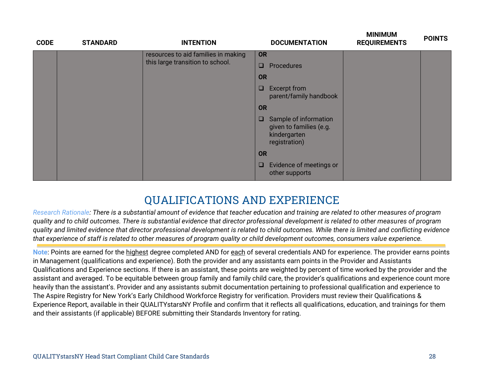| <b>CODE</b> | <b>STANDARD</b> | <b>INTENTION</b>                    |                                                                                   | <b>DOCUMENTATION</b>                          | <b>IVILINIIVIUIVI</b><br><b>REQUIREMENTS</b> | <b>POINTS</b> |
|-------------|-----------------|-------------------------------------|-----------------------------------------------------------------------------------|-----------------------------------------------|----------------------------------------------|---------------|
|             |                 | resources to aid families in making | <b>OR</b>                                                                         |                                               |                                              |               |
|             |                 | this large transition to school.    | $\Box$                                                                            | Procedures                                    |                                              |               |
|             |                 |                                     | <b>OR</b>                                                                         |                                               |                                              |               |
|             |                 |                                     | $\Box$                                                                            | <b>Excerpt from</b><br>parent/family handbook |                                              |               |
|             |                 |                                     | <b>OR</b>                                                                         |                                               |                                              |               |
|             |                 | □                                   | Sample of information<br>given to families (e.g.<br>kindergarten<br>registration) |                                               |                                              |               |
|             |                 | <b>OR</b>                           |                                                                                   |                                               |                                              |               |
|             |                 |                                     | $\Box$                                                                            | Evidence of meetings or<br>other supports     |                                              |               |

# **QUALIFICATIONS AND EXPERIENCE**

*Research Rationale: There is a substantial amount of evidence that teacher education and training are related to other measures of program quality and to child outcomes. There is substantial evidence that director professional development is related to other measures of program quality and limited evidence that director professional development is related to child outcomes. While there is limited and conflicting evidence that experience of staff is related to other measures of program quality or child development outcomes, consumers value experience.*

**Note**: Points are earned for the highest degree completed AND for each of several credentials AND for experience. The provider earns points in Management (qualifications and experience). Both the provider and any assistants earn points in the Provider and Assistants Qualifications and Experience sections. If there is an assistant, these points are weighted by percent of time worked by the provider and the assistant and averaged. To be equitable between group family and family child care, the provider's qualifications and experience count more heavily than the assistant's. Provider and any assistants submit documentation pertaining to professional qualification and experience to The Aspire Registry for New York's Early Childhood Workforce Registry for verification. Providers must review their Qualifications & Experience Report, available in their QUALITYstarsNY Profile and confirm that it reflects all qualifications, education, and trainings for them and their assistants (if applicable) BEFORE submitting their Standards Inventory for rating.

**MINIMUM**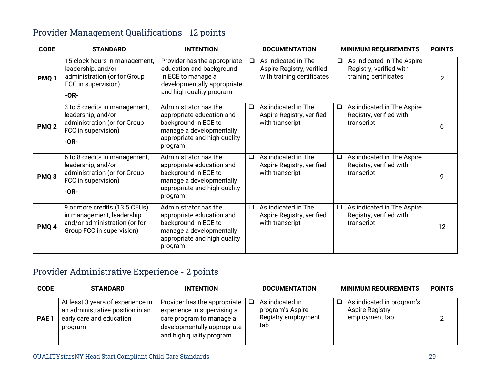#### Provider Management Qualifications - 12 points

| <b>CODE</b>      | <b>STANDARD</b>                                                                                                           | <b>INTENTION</b>                                                                                                                                   |        | <b>DOCUMENTATION</b>                                                           |        | <b>MINIMUM REQUIREMENTS</b>                                                    | <b>POINTS</b>  |
|------------------|---------------------------------------------------------------------------------------------------------------------------|----------------------------------------------------------------------------------------------------------------------------------------------------|--------|--------------------------------------------------------------------------------|--------|--------------------------------------------------------------------------------|----------------|
| PMQ <sub>1</sub> | 15 clock hours in management,<br>leadership, and/or<br>administration (or for Group<br>FCC in supervision)<br>$-OR-$      | Provider has the appropriate<br>education and background<br>in ECE to manage a<br>developmentally appropriate<br>and high quality program.         | $\Box$ | As indicated in The<br>Aspire Registry, verified<br>with training certificates | Q.     | As indicated in The Aspire<br>Registry, verified with<br>training certificates | $\overline{2}$ |
| PMQ <sub>2</sub> | 3 to 5 credits in management,<br>leadership, and/or<br>administration (or for Group<br>FCC in supervision)<br>$-OR-$      | Administrator has the<br>appropriate education and<br>background in ECE to<br>manage a developmentally<br>appropriate and high quality<br>program. | $\Box$ | As indicated in The<br>Aspire Registry, verified<br>with transcript            | $\Box$ | As indicated in The Aspire<br>Registry, verified with<br>transcript            | 6              |
| PMQ <sub>3</sub> | 6 to 8 credits in management,<br>leadership, and/or<br>administration (or for Group<br>FCC in supervision)<br>$-OR-$      | Administrator has the<br>appropriate education and<br>background in ECE to<br>manage a developmentally<br>appropriate and high quality<br>program. | $\Box$ | As indicated in The<br>Aspire Registry, verified<br>with transcript            | $\Box$ | As indicated in The Aspire<br>Registry, verified with<br>transcript            | 9              |
| PMQ <sub>4</sub> | 9 or more credits (13.5 CEUs)<br>in management, leadership,<br>and/or administration (or for<br>Group FCC in supervision) | Administrator has the<br>appropriate education and<br>background in ECE to<br>manage a developmentally<br>appropriate and high quality<br>program. | $\Box$ | As indicated in The<br>Aspire Registry, verified<br>with transcript            | $\Box$ | As indicated in The Aspire<br>Registry, verified with<br>transcript            | 12             |

#### Provider Administrative Experience - 2 points

| <b>CODE</b>      | <b>STANDARD</b>                                                                                              | <b>INTENTION</b>                                                                                                                                    |   | <b>DOCUMENTATION</b>                                              | <b>MINIMUM REQUIREMENTS</b>                                    | <b>POINTS</b> |
|------------------|--------------------------------------------------------------------------------------------------------------|-----------------------------------------------------------------------------------------------------------------------------------------------------|---|-------------------------------------------------------------------|----------------------------------------------------------------|---------------|
| PAE <sub>1</sub> | At least 3 years of experience in<br>an administrative position in an<br>early care and education<br>program | Provider has the appropriate<br>experience in supervising a<br>care program to manage a<br>developmentally appropriate<br>and high quality program. | ப | As indicated in<br>program's Aspire<br>Registry employment<br>tab | As indicated in program's<br>Aspire Registry<br>employment tab | C             |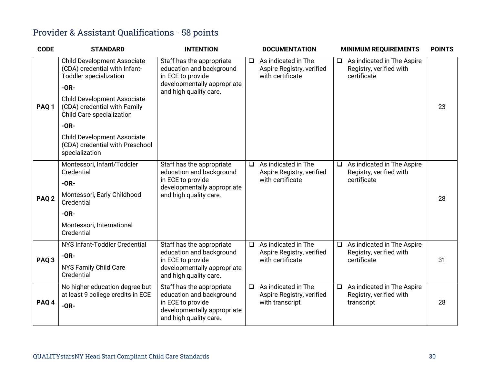#### Provider & Assistant Qualifications - 58 points

| <b>CODE</b>      | <b>STANDARD</b>                                                                                                                                                                                                                                                                                                        | <b>INTENTION</b>                                                                                                                    |        | <b>DOCUMENTATION</b>                                                 |        | <b>MINIMUM REQUIREMENTS</b>                                          | <b>POINTS</b> |
|------------------|------------------------------------------------------------------------------------------------------------------------------------------------------------------------------------------------------------------------------------------------------------------------------------------------------------------------|-------------------------------------------------------------------------------------------------------------------------------------|--------|----------------------------------------------------------------------|--------|----------------------------------------------------------------------|---------------|
| PAQ <sub>1</sub> | <b>Child Development Associate</b><br>(CDA) credential with Infant-<br><b>Toddler specialization</b><br>$-OR-$<br><b>Child Development Associate</b><br>(CDA) credential with Family<br>Child Care specialization<br>$-OR-$<br><b>Child Development Associate</b><br>(CDA) credential with Preschool<br>specialization | Staff has the appropriate<br>education and background<br>in ECE to provide<br>developmentally appropriate<br>and high quality care. | $\Box$ | As indicated in The<br>Aspire Registry, verified<br>with certificate | $\Box$ | As indicated in The Aspire<br>Registry, verified with<br>certificate | 23            |
| PAQ <sub>2</sub> | Montessori, Infant/Toddler<br>Credential<br>$-OR-$<br>Montessori, Early Childhood<br>Credential<br>$-OR-$<br>Montessori, International<br>Credential                                                                                                                                                                   | Staff has the appropriate<br>education and background<br>in ECE to provide<br>developmentally appropriate<br>and high quality care. | $\Box$ | As indicated in The<br>Aspire Registry, verified<br>with certificate | $\Box$ | As indicated in The Aspire<br>Registry, verified with<br>certificate | 28            |
| PAQ <sub>3</sub> | NYS Infant-Toddler Credential<br>$-OR-$<br>NYS Family Child Care<br>Credential                                                                                                                                                                                                                                         | Staff has the appropriate<br>education and background<br>in ECE to provide<br>developmentally appropriate<br>and high quality care. | $\Box$ | As indicated in The<br>Aspire Registry, verified<br>with certificate | $\Box$ | As indicated in The Aspire<br>Registry, verified with<br>certificate | 31            |
| PAQ 4            | No higher education degree but<br>at least 9 college credits in ECE<br>$-OR-$                                                                                                                                                                                                                                          | Staff has the appropriate<br>education and background<br>in ECE to provide<br>developmentally appropriate<br>and high quality care. | $\Box$ | As indicated in The<br>Aspire Registry, verified<br>with transcript  | $\Box$ | As indicated in The Aspire<br>Registry, verified with<br>transcript  | 28            |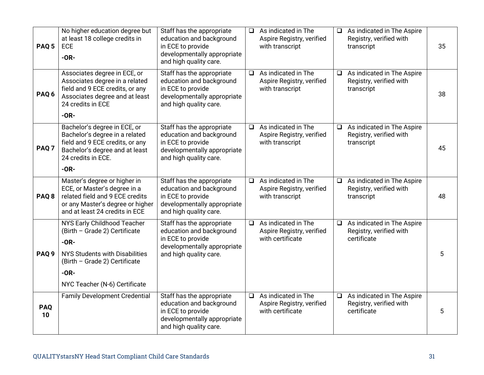| PAQ <sub>5</sub> | No higher education degree but<br>at least 18 college credits in<br><b>ECE</b><br>$-OR-$                                                                                                    | Staff has the appropriate<br>education and background<br>in ECE to provide<br>developmentally appropriate<br>and high quality care. | ❏      | As indicated in The<br>Aspire Registry, verified<br>with transcript  | $\Box$ | As indicated in The Aspire<br>Registry, verified with<br>transcript  | 35 |
|------------------|---------------------------------------------------------------------------------------------------------------------------------------------------------------------------------------------|-------------------------------------------------------------------------------------------------------------------------------------|--------|----------------------------------------------------------------------|--------|----------------------------------------------------------------------|----|
| PAQ <sub>6</sub> | Associates degree in ECE, or<br>Associates degree in a related<br>field and 9 ECE credits, or any<br>Associates degree and at least<br>24 credits in ECE<br>$-OR-$                          | Staff has the appropriate<br>education and background<br>in ECE to provide<br>developmentally appropriate<br>and high quality care. | $\Box$ | As indicated in The<br>Aspire Registry, verified<br>with transcript  | $\Box$ | As indicated in The Aspire<br>Registry, verified with<br>transcript  | 38 |
| PAQ <sub>7</sub> | Bachelor's degree in ECE, or<br>Bachelor's degree in a related<br>field and 9 ECE credits, or any<br>Bachelor's degree and at least<br>24 credits in ECE.                                   | Staff has the appropriate<br>education and background<br>in ECE to provide<br>developmentally appropriate<br>and high quality care. | $\Box$ | As indicated in The<br>Aspire Registry, verified<br>with transcript  | $\Box$ | As indicated in The Aspire<br>Registry, verified with<br>transcript  | 45 |
|                  | $-OR-$                                                                                                                                                                                      |                                                                                                                                     |        |                                                                      |        |                                                                      |    |
| PAQ <sub>8</sub> | Master's degree or higher in<br>ECE, or Master's degree in a<br>related field and 9 ECE credits<br>or any Master's degree or higher<br>and at least 24 credits in ECE                       | Staff has the appropriate<br>education and background<br>in ECE to provide<br>developmentally appropriate<br>and high quality care. | $\Box$ | As indicated in The<br>Aspire Registry, verified<br>with transcript  | $\Box$ | As indicated in The Aspire<br>Registry, verified with<br>transcript  | 48 |
| PAQ <sub>9</sub> | NYS Early Childhood Teacher<br>(Birth - Grade 2) Certificate<br>$-OR-$<br><b>NYS Students with Disabilities</b><br>(Birth - Grade 2) Certificate<br>$-OR-$<br>NYC Teacher (N-6) Certificate | Staff has the appropriate<br>education and background<br>in ECE to provide<br>developmentally appropriate<br>and high quality care. | $\Box$ | As indicated in The<br>Aspire Registry, verified<br>with certificate | $\Box$ | As indicated in The Aspire<br>Registry, verified with<br>certificate | 5  |
| <b>PAQ</b><br>10 | <b>Family Development Credential</b>                                                                                                                                                        | Staff has the appropriate<br>education and background<br>in ECE to provide<br>developmentally appropriate<br>and high quality care. | $\Box$ | As indicated in The<br>Aspire Registry, verified<br>with certificate | $\Box$ | As indicated in The Aspire<br>Registry, verified with<br>certificate | 5  |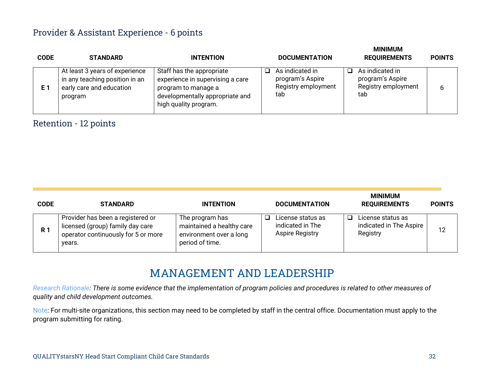#### Provider & Assistant Experience - 6 points

| <b>CODE</b> | <b>STANDARD</b>                                                                                         | <b>INTENTION</b>                                                                                                                                 | <b>DOCUMENTATION</b>                                              | IVIIIVIUIVI<br><b>REQUIREMENTS</b>                                | <b>POINTS</b> |
|-------------|---------------------------------------------------------------------------------------------------------|--------------------------------------------------------------------------------------------------------------------------------------------------|-------------------------------------------------------------------|-------------------------------------------------------------------|---------------|
| E 1         | At least 3 years of experience<br>in any teaching position in an<br>early care and education<br>program | Staff has the appropriate<br>experience in supervising a care<br>program to manage a<br>developmentally appropriate and<br>high quality program. | As indicated in<br>program's Aspire<br>Registry employment<br>tab | As indicated in<br>program's Aspire<br>Registry employment<br>tab |               |

#### Retention - 12 points

| <b>CODE</b> | <b>STANDARD</b>                                                                                                        | <b>INTENTION</b>                                                                           | <b>DOCUMENTATION</b>                                            | <b>MINIMUM</b><br><b>REQUIREMENTS</b>                    | <b>POINTS</b> |
|-------------|------------------------------------------------------------------------------------------------------------------------|--------------------------------------------------------------------------------------------|-----------------------------------------------------------------|----------------------------------------------------------|---------------|
| <b>R</b> 1  | Provider has been a registered or<br>licensed (group) family day care<br>operator continuously for 5 or more<br>years. | The program has<br>maintained a healthy care<br>environment over a long<br>period of time. | License status as<br>indicated in The<br><b>Aspire Registry</b> | License status as<br>indicated in The Aspire<br>Registry | 12            |

#### **MANAGEMENT AND LEADERSHIP**

*Research Rationale: There is some evidence that the implementation of program policies and procedures is related to other measures of quality and child development outcomes.*

Note: For multi-site organizations, this section may need to be completed by staff in the central office. Documentation must apply to the program submitting for rating.

**MINIMUM**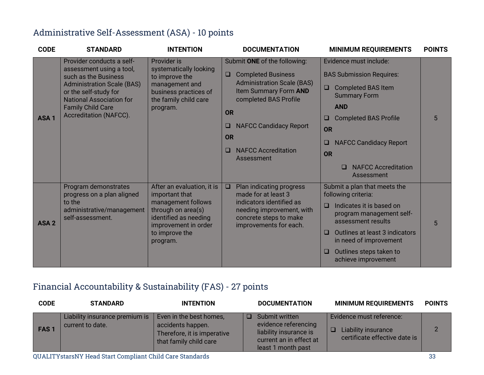#### Administrative Self-Assessment (ASA) - 10 points

| <b>CODE</b>      | <b>STANDARD</b>                                                                                                                                                                                                                      | <b>INTENTION</b>                                                                                                                                                        | <b>DOCUMENTATION</b>                                                                                                                                                                                                                                                             | <b>MINIMUM REQUIREMENTS</b>                                                                                                                                                                                                                                                            | <b>POINTS</b> |
|------------------|--------------------------------------------------------------------------------------------------------------------------------------------------------------------------------------------------------------------------------------|-------------------------------------------------------------------------------------------------------------------------------------------------------------------------|----------------------------------------------------------------------------------------------------------------------------------------------------------------------------------------------------------------------------------------------------------------------------------|----------------------------------------------------------------------------------------------------------------------------------------------------------------------------------------------------------------------------------------------------------------------------------------|---------------|
| ASA <sub>1</sub> | Provider conducts a self-<br>assessment using a tool,<br>such as the Business<br><b>Administration Scale (BAS)</b><br>or the self-study for<br><b>National Association for</b><br><b>Family Child Care</b><br>Accreditation (NAFCC). | Provider is<br>systematically looking<br>to improve the<br>management and<br>business practices of<br>the family child care<br>program.                                 | Submit ONE of the following:<br><b>Completed Business</b><br>$\Box$<br><b>Administration Scale (BAS)</b><br>Item Summary Form AND<br>completed BAS Profile<br><b>OR</b><br><b>NAFCC Candidacy Report</b><br>u<br><b>OR</b><br><b>NAFCC Accreditation</b><br>$\Box$<br>Assessment | Evidence must include:<br><b>BAS Submission Requires:</b><br><b>Completed BAS Item</b><br>$\Box$<br><b>Summary Form</b><br><b>AND</b><br><b>Completed BAS Profile</b><br>u<br><b>OR</b><br><b>NAFCC Candidacy Report</b><br>□<br><b>OR</b><br><b>NAFCC Accreditation</b><br>Assessment | 5             |
| ASA <sub>2</sub> | Program demonstrates<br>progress on a plan aligned<br>to the<br>administrative/management<br>self-assessment.                                                                                                                        | After an evaluation, it is<br>important that<br>management follows<br>through on area(s)<br>identified as needing<br>improvement in order<br>to improve the<br>program. | Plan indicating progress<br>$\Box$<br>made for at least 3<br>indicators identified as<br>needing improvement, with<br>concrete steps to make<br>improvements for each.                                                                                                           | Submit a plan that meets the<br>following criteria:<br>Indicates it is based on<br>$\Box$<br>program management self-<br>assessment results<br>Outlines at least 3 indicators<br>□<br>in need of improvement<br>Outlines steps taken to<br>□<br>achieve improvement                    | 5             |

# Financial Accountability & Sustainability (FAS) - 27 points

| <b>CODE</b> | <b>STANDARD</b>                                    | <b>INTENTION</b>                                                                                      | <b>DOCUMENTATION</b>                                                                                              | <b>MINIMUM REQUIREMENTS</b>                                                      | <b>POINTS</b> |
|-------------|----------------------------------------------------|-------------------------------------------------------------------------------------------------------|-------------------------------------------------------------------------------------------------------------------|----------------------------------------------------------------------------------|---------------|
| <b>FAS1</b> | Liability insurance premium is<br>current to date. | Even in the best homes,<br>accidents happen.<br>Therefore, it is imperative<br>that family child care | Submit written<br>evidence referencing<br>liability insurance is<br>current an in effect at<br>least 1 month past | Evidence must reference:<br>Liability insurance<br>certificate effective date is | 2             |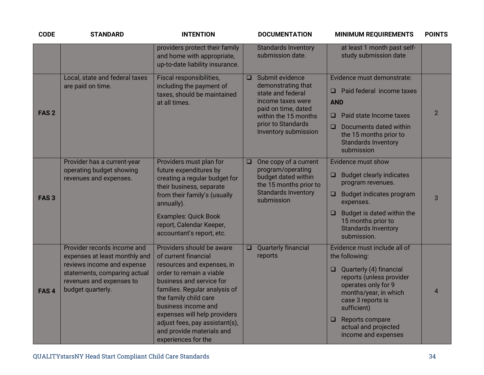| <b>CODE</b>      | <b>STANDARD</b>                                                                                                                                                             | <b>INTENTION</b>                                                                                                                                                                                                                                                                                                                               |        | <b>DOCUMENTATION</b>                                                                                                                                                         | <b>MINIMUM REQUIREMENTS</b>                                                                                                                                                                                                                                           | <b>POINTS</b>  |
|------------------|-----------------------------------------------------------------------------------------------------------------------------------------------------------------------------|------------------------------------------------------------------------------------------------------------------------------------------------------------------------------------------------------------------------------------------------------------------------------------------------------------------------------------------------|--------|------------------------------------------------------------------------------------------------------------------------------------------------------------------------------|-----------------------------------------------------------------------------------------------------------------------------------------------------------------------------------------------------------------------------------------------------------------------|----------------|
|                  |                                                                                                                                                                             | providers protect their family<br>and home with appropriate,<br>up-to-date liability insurance.                                                                                                                                                                                                                                                |        | <b>Standards Inventory</b><br>submission date.                                                                                                                               | at least 1 month past self-<br>study submission date                                                                                                                                                                                                                  |                |
| FAS <sub>2</sub> | Local, state and federal taxes<br>are paid on time.                                                                                                                         | Fiscal responsibilities,<br>including the payment of<br>taxes, should be maintained<br>at all times.                                                                                                                                                                                                                                           | $\Box$ | Submit evidence<br>demonstrating that<br>state and federal<br>income taxes were<br>paid on time, dated<br>within the 15 months<br>prior to Standards<br>Inventory submission | Evidence must demonstrate:<br>Paid federal income taxes<br><b>AND</b><br>Paid state Income taxes<br>□<br>Documents dated within<br>$\Box$<br>the 15 months prior to<br><b>Standards Inventory</b><br>submission                                                       | $\overline{2}$ |
| FAS <sub>3</sub> | Provider has a current-year<br>operating budget showing<br>revenues and expenses.                                                                                           | Providers must plan for<br>future expenditures by<br>creating a regular budget for<br>their business, separate<br>from their family's (usually<br>annually).<br><b>Examples: Quick Book</b><br>report, Calendar Keeper,<br>accountant's report, etc.                                                                                           | $\Box$ | One copy of a current<br>program/operating<br>budget dated within<br>the 15 months prior to<br><b>Standards Inventory</b><br>submission                                      | Evidence must show<br><b>Budget clearly indicates</b><br>O<br>program revenues.<br>Budget indicates program<br>□<br>expenses.<br>Budget is dated within the<br>$\Box$<br>15 months prior to<br><b>Standards Inventory</b><br>submission.                              | 3              |
| FAS <sub>4</sub> | Provider records income and<br>expenses at least monthly and<br>reviews income and expense<br>statements, comparing actual<br>revenues and expenses to<br>budget quarterly. | Providers should be aware<br>of current financial<br>resources and expenses, in<br>order to remain a viable<br>business and service for<br>families. Regular analysis of<br>the family child care<br>business income and<br>expenses will help providers<br>adjust fees, pay assistant(s),<br>and provide materials and<br>experiences for the | $\Box$ | Quarterly financial<br>reports                                                                                                                                               | Evidence must include all of<br>the following:<br>Quarterly (4) financial<br>□<br>reports (unless provider<br>operates only for 9<br>months/year, in which<br>case 3 reports is<br>sufficient)<br>Reports compare<br>□<br>actual and projected<br>income and expenses | $\overline{4}$ |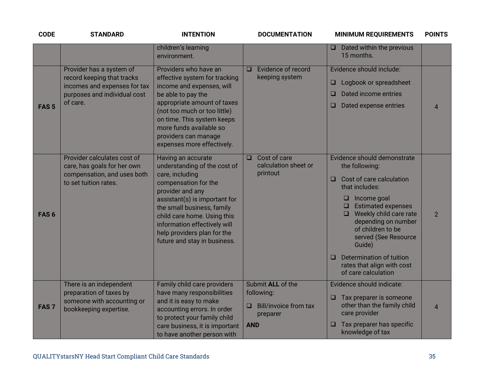| <b>CODE</b>      | <b>STANDARD</b>                                                                                                                    | <b>INTENTION</b>                                                                                                                                                                                                                                                                                               | <b>DOCUMENTATION</b>                                                                           | <b>MINIMUM REQUIREMENTS</b>                                                                                                                                                                                                                                                                                                                                         | <b>POINTS</b>  |
|------------------|------------------------------------------------------------------------------------------------------------------------------------|----------------------------------------------------------------------------------------------------------------------------------------------------------------------------------------------------------------------------------------------------------------------------------------------------------------|------------------------------------------------------------------------------------------------|---------------------------------------------------------------------------------------------------------------------------------------------------------------------------------------------------------------------------------------------------------------------------------------------------------------------------------------------------------------------|----------------|
|                  |                                                                                                                                    | children's learning<br>environment.                                                                                                                                                                                                                                                                            |                                                                                                | Dated within the previous<br>□<br>15 months.                                                                                                                                                                                                                                                                                                                        |                |
| FAS <sub>5</sub> | Provider has a system of<br>record keeping that tracks<br>incomes and expenses for tax<br>purposes and individual cost<br>of care. | Providers who have an<br>effective system for tracking<br>income and expenses, will<br>be able to pay the<br>appropriate amount of taxes<br>(not too much or too little)<br>on time. This system keeps<br>more funds available so<br>providers can manage<br>expenses more effectively.                        | Evidence of record<br>$\Box$<br>keeping system                                                 | Evidence should include:<br>Logbook or spreadsheet<br>□<br>Dated income entries<br>$\Box$<br>Dated expense entries<br>$\Box$                                                                                                                                                                                                                                        | $\overline{4}$ |
| FAS <sub>6</sub> | Provider calculates cost of<br>care, has goals for her own<br>compensation, and uses both<br>to set tuition rates.                 | Having an accurate<br>understanding of the cost of<br>care, including<br>compensation for the<br>provider and any<br>assistant(s) is important for<br>the small business, family<br>child care home. Using this<br>information effectively will<br>help providers plan for the<br>future and stay in business. | Cost of care<br>$\Box$<br>calculation sheet or<br>printout                                     | Evidence should demonstrate<br>the following:<br>Cost of care calculation<br>$\Box$<br>that includes:<br>Income goal<br>□<br><b>Estimated expenses</b><br>Weekly child care rate<br>$\Box$<br>depending on number<br>of children to be<br>served (See Resource<br>Guide)<br>Determination of tuition<br>$\Box$<br>rates that align with cost<br>of care calculation | $\overline{2}$ |
| FAS <sub>7</sub> | There is an independent<br>preparation of taxes by<br>someone with accounting or<br>bookkeeping expertise.                         | Family child care providers<br>have many responsibilities<br>and it is easy to make<br>accounting errors. In order<br>to protect your family child<br>care business, it is important<br>to have another person with                                                                                            | Submit ALL of the<br>following:<br><b>Bill/invoice from tax</b><br>❏<br>preparer<br><b>AND</b> | Evidence should indicate:<br>Tax preparer is someone<br>$\Box$<br>other than the family child<br>care provider<br>Tax preparer has specific<br>$\Box$<br>knowledge of tax                                                                                                                                                                                           | $\overline{4}$ |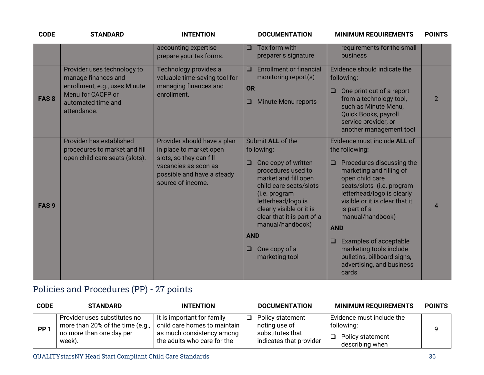| <b>CODE</b>      | <b>STANDARD</b>                                                                                                                               | <b>INTENTION</b>                                                                                                                                             | <b>DOCUMENTATION</b>                                                                                                                                                                                                                                                                                           | <b>MINIMUM REQUIREMENTS</b>                                                                                                                                                                                                                                                                                                                                                                                             | <b>POINTS</b>  |
|------------------|-----------------------------------------------------------------------------------------------------------------------------------------------|--------------------------------------------------------------------------------------------------------------------------------------------------------------|----------------------------------------------------------------------------------------------------------------------------------------------------------------------------------------------------------------------------------------------------------------------------------------------------------------|-------------------------------------------------------------------------------------------------------------------------------------------------------------------------------------------------------------------------------------------------------------------------------------------------------------------------------------------------------------------------------------------------------------------------|----------------|
|                  |                                                                                                                                               | accounting expertise<br>prepare your tax forms.                                                                                                              | Tax form with<br>$\Box$<br>preparer's signature                                                                                                                                                                                                                                                                | requirements for the small<br>business                                                                                                                                                                                                                                                                                                                                                                                  |                |
| <b>FAS8</b>      | Provider uses technology to<br>manage finances and<br>enrollment, e.g., uses Minute<br>Menu for CACFP or<br>automated time and<br>attendance. | Technology provides a<br>valuable time-saving tool for<br>managing finances and<br>enrollment.                                                               | <b>Enrollment or financial</b><br>$\Box$<br>monitoring report(s)<br><b>OR</b><br><b>Minute Menu reports</b><br>u                                                                                                                                                                                               | Evidence should indicate the<br>following:<br>$\Box$<br>One print out of a report<br>from a technology tool,<br>such as Minute Menu,<br>Quick Books, payroll<br>service provider, or<br>another management tool                                                                                                                                                                                                         | $\overline{2}$ |
| FAS <sub>9</sub> | Provider has established<br>procedures to market and fill<br>open child care seats (slots).                                                   | Provider should have a plan<br>in place to market open<br>slots, so they can fill<br>vacancies as soon as<br>possible and have a steady<br>source of income. | Submit ALL of the<br>following:<br>One copy of written<br>❏<br>procedures used to<br>market and fill open<br>child care seats/slots<br>(i.e. program<br>letterhead/logo is<br>clearly visible or it is<br>clear that it is part of a<br>manual/handbook)<br><b>AND</b><br>One copy of a<br>⊔<br>marketing tool | Evidence must include ALL of<br>the following:<br>Procedures discussing the<br>$\Box$<br>marketing and filling of<br>open child care<br>seats/slots (i.e. program<br>letterhead/logo is clearly<br>visible or it is clear that it<br>is part of a<br>manual/handbook)<br><b>AND</b><br>Examples of acceptable<br>$\Box$<br>marketing tools include<br>bulletins, billboard signs,<br>advertising, and business<br>cards | $\overline{4}$ |

# Policies and Procedures (PP) - 27 points

| <b>CODE</b> | <b>STANDARD</b>                                                                                        | <b>INTENTION</b>                                                                                                       |   | <b>DOCUMENTATION</b>                                                             | <b>MINIMUM REQUIREMENTS</b>                                                    | <b>POINTS</b> |
|-------------|--------------------------------------------------------------------------------------------------------|------------------------------------------------------------------------------------------------------------------------|---|----------------------------------------------------------------------------------|--------------------------------------------------------------------------------|---------------|
| <b>PP</b>   | Provider uses substitutes no<br>more than 20% of the time (e.g.,<br>no more than one day per<br>week). | It is important for family<br>child care homes to maintain<br>as much consistency among<br>the adults who care for the | ◻ | Policy statement<br>noting use of<br>substitutes that<br>indicates that provider | Evidence must include the<br>following:<br>Policy statement<br>describing when |               |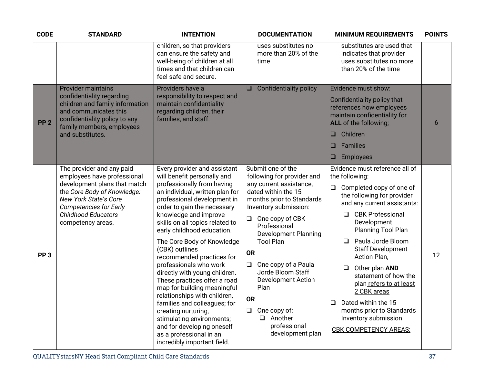| <b>CODE</b>     | <b>STANDARD</b>                                                                                                                                                                                                                             | <b>INTENTION</b>                                                                                                                                                                                                                                                                                                                                                                                                                                                                                                                                                                                                                                                                                        | <b>DOCUMENTATION</b>                                                                                                                                                                                                                                                                                                                                                                                                                               | <b>MINIMUM REQUIREMENTS</b>                                                                                                                                                                                                                                                                                                                                                                                                                                                                    | <b>POINTS</b> |
|-----------------|---------------------------------------------------------------------------------------------------------------------------------------------------------------------------------------------------------------------------------------------|---------------------------------------------------------------------------------------------------------------------------------------------------------------------------------------------------------------------------------------------------------------------------------------------------------------------------------------------------------------------------------------------------------------------------------------------------------------------------------------------------------------------------------------------------------------------------------------------------------------------------------------------------------------------------------------------------------|----------------------------------------------------------------------------------------------------------------------------------------------------------------------------------------------------------------------------------------------------------------------------------------------------------------------------------------------------------------------------------------------------------------------------------------------------|------------------------------------------------------------------------------------------------------------------------------------------------------------------------------------------------------------------------------------------------------------------------------------------------------------------------------------------------------------------------------------------------------------------------------------------------------------------------------------------------|---------------|
|                 |                                                                                                                                                                                                                                             | children, so that providers<br>can ensure the safety and<br>well-being of children at all<br>times and that children can<br>feel safe and secure.                                                                                                                                                                                                                                                                                                                                                                                                                                                                                                                                                       | uses substitutes no<br>more than 20% of the<br>time                                                                                                                                                                                                                                                                                                                                                                                                | substitutes are used that<br>indicates that provider<br>uses substitutes no more<br>than 20% of the time                                                                                                                                                                                                                                                                                                                                                                                       |               |
| PP <sub>2</sub> | <b>Provider maintains</b><br>confidentiality regarding<br>children and family information<br>and communicates this<br>confidentiality policy to any<br>family members, employees<br>and substitutes.                                        | Providers have a<br>responsibility to respect and<br>maintain confidentiality<br>regarding children, their<br>families, and staff.                                                                                                                                                                                                                                                                                                                                                                                                                                                                                                                                                                      | <b>Confidentiality policy</b><br>$\Box$                                                                                                                                                                                                                                                                                                                                                                                                            | Evidence must show:<br>Confidentiality policy that<br>references how employees<br>maintain confidentiality for<br>ALL of the following;<br>Children<br>$\Box$<br><b>Families</b><br>□<br><b>Employees</b><br>❏                                                                                                                                                                                                                                                                                 | 6             |
| PP <sub>3</sub> | The provider and any paid<br>employees have professional<br>development plans that match<br>the Core Body of Knowledge:<br><b>New York State's Core</b><br><b>Competencies for Early</b><br><b>Childhood Educators</b><br>competency areas. | Every provider and assistant<br>will benefit personally and<br>professionally from having<br>an individual, written plan for<br>professional development in<br>order to gain the necessary<br>knowledge and improve<br>skills on all topics related to<br>early childhood education.<br>The Core Body of Knowledge<br>(CBK) outlines<br>recommended practices for<br>professionals who work<br>directly with young children.<br>These practices offer a road<br>map for building meaningful<br>relationships with children,<br>families and colleagues; for<br>creating nurturing,<br>stimulating environments;<br>and for developing oneself<br>as a professional in an<br>incredibly important field. | Submit one of the<br>following for provider and<br>any current assistance,<br>dated within the 15<br>months prior to Standards<br>Inventory submission:<br>One copy of CBK<br>$\Box$<br>Professional<br><b>Development Planning</b><br><b>Tool Plan</b><br><b>OR</b><br>One copy of a Paula<br>$\Box$<br>Jorde Bloom Staff<br>Development Action<br>Plan<br><b>OR</b><br>$\Box$ One copy of:<br>$\Box$ Another<br>professional<br>development plan | Evidence must reference all of<br>the following:<br>Completed copy of one of<br>❏<br>the following for provider<br>and any current assistants:<br>□ CBK Professional<br>Development<br>Planning Tool Plan<br>Paula Jorde Bloom<br>$\Box$<br><b>Staff Development</b><br>Action Plan,<br>Other plan AND<br>statement of how the<br>plan refers to at least<br>2 CBK areas<br>Dated within the 15<br>$\Box$<br>months prior to Standards<br>Inventory submission<br><b>CBK COMPETENCY AREAS:</b> | 12            |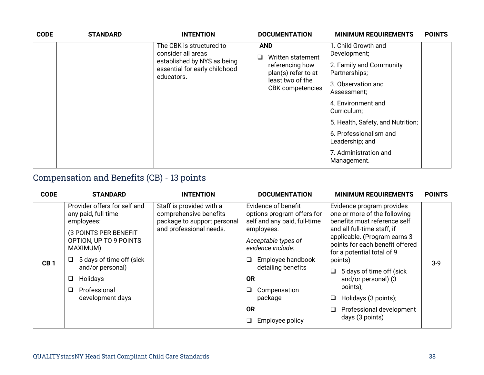| <b>CODE</b> | <b>STANDARD</b> | <b>INTENTION</b>                                                           | <b>DOCUMENTATION</b>                   | <b>MINIMUM REQUIREMENTS</b>               | <b>POINTS</b> |
|-------------|-----------------|----------------------------------------------------------------------------|----------------------------------------|-------------------------------------------|---------------|
|             |                 | The CBK is structured to<br>consider all areas                             | <b>AND</b><br>Written statement        | 1. Child Growth and<br>Development;       |               |
|             |                 | established by NYS as being<br>essential for early childhood<br>educators. | referencing how<br>plan(s) refer to at | 2. Family and Community<br>Partnerships;  |               |
|             |                 |                                                                            | least two of the<br>CBK competencies   | 3. Observation and<br>Assessment;         |               |
|             |                 |                                                                            |                                        | 4. Environment and<br>Curriculum;         |               |
|             |                 |                                                                            |                                        | 5. Health, Safety, and Nutrition;         |               |
|             |                 |                                                                            |                                        | 6. Professionalism and<br>Leadership; and |               |
|             |                 |                                                                            |                                        | 7. Administration and<br>Management.      |               |

# Compensation and Benefits (CB) - 13 points

| <b>CODE</b>     | <b>STANDARD</b>                                                                                                                                                                                                                            | <b>INTENTION</b>                                                                                             | <b>DOCUMENTATION</b>                                                                                                                                                                                                                                                | <b>MINIMUM REQUIREMENTS</b>                                                                                                                                                                                                                                                                                                                                                               | <b>POINTS</b> |
|-----------------|--------------------------------------------------------------------------------------------------------------------------------------------------------------------------------------------------------------------------------------------|--------------------------------------------------------------------------------------------------------------|---------------------------------------------------------------------------------------------------------------------------------------------------------------------------------------------------------------------------------------------------------------------|-------------------------------------------------------------------------------------------------------------------------------------------------------------------------------------------------------------------------------------------------------------------------------------------------------------------------------------------------------------------------------------------|---------------|
| CB <sub>1</sub> | Provider offers for self and<br>any paid, full-time<br>employees:<br>(3 POINTS PER BENEFIT<br>OPTION, UP TO 9 POINTS<br>MAXIMUM)<br>5 days of time off (sick<br>and/or personal)<br>Holidays<br>ш<br>Professional<br>□<br>development days | Staff is provided with a<br>comprehensive benefits<br>package to support personal<br>and professional needs. | Evidence of benefit<br>options program offers for<br>self and any paid, full-time<br>employees.<br>Acceptable types of<br>evidence include:<br>Employee handbook<br>detailing benefits<br><b>OR</b><br>Compensation<br>package<br><b>OR</b><br>Employee policy<br>⊔ | Evidence program provides<br>one or more of the following<br>benefits must reference self<br>and all full-time staff, if<br>applicable. (Program earns 3<br>points for each benefit offered<br>for a potential total of 9<br>points)<br>5 days of time off (sick<br>❏<br>and/or personal) (3<br>points);<br>Holidays (3 points);<br>❏<br>Professional development<br>❏<br>days (3 points) | $3-9$         |